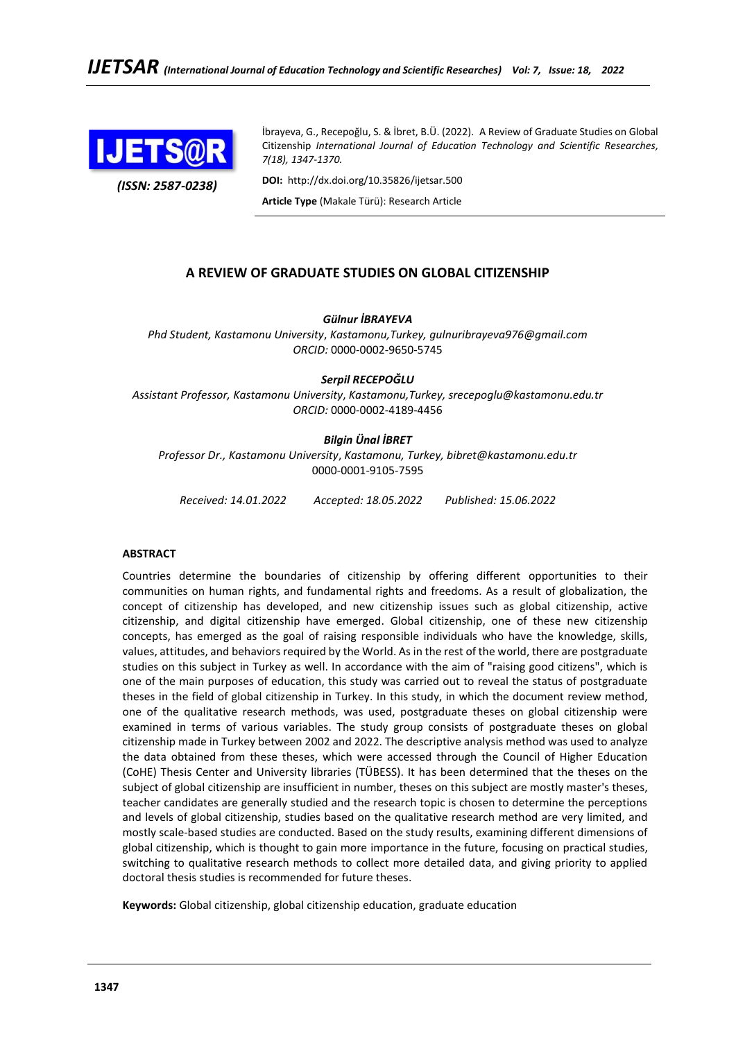

*(ISSN: 2587-0238)*

İbrayeva, G., Recepoğlu, S. & İbret, B.Ü. (2022). A Review of Graduate Studies on Global Citizenship *International Journal of Education Technology and Scientific Researches, 7(18), 1347-1370.*

**DOI:** http://dx.doi.org/10.35826/ijetsar.500

**Article Type** (Makale Türü): Research Article

# **A REVIEW OF GRADUATE STUDIES ON GLOBAL CITIZENSHIP**

*Gülnur İBRAYEVA*

*Phd Student, Kastamonu University*, *Kastamonu,Turkey, gulnuribrayeva976@gmail.com ORCID:* 0000-0002-9650-5745

*Serpil RECEPOĞLU*

*Assistant Professor, Kastamonu University*, *Kastamonu,Turkey, srecepoglu@kastamonu.edu.tr ORCID:* 0000-0002-4189-4456

## *Bilgin Ünal İBRET*

*Professor Dr., Kastamonu University*, *Kastamonu, Turkey, bibret@kastamonu.edu.tr* 0000-0001-9105-7595

*Received: 14.01.2022 Accepted: 18.05.2022 Published: 15.06.2022*

## **ABSTRACT**

Countries determine the boundaries of citizenship by offering different opportunities to their communities on human rights, and fundamental rights and freedoms. As a result of globalization, the concept of citizenship has developed, and new citizenship issues such as global citizenship, active citizenship, and digital citizenship have emerged. Global citizenship, one of these new citizenship concepts, has emerged as the goal of raising responsible individuals who have the knowledge, skills, values, attitudes, and behaviors required by the World. As in the rest of the world, there are postgraduate studies on this subject in Turkey as well. In accordance with the aim of "raising good citizens", which is one of the main purposes of education, this study was carried out to reveal the status of postgraduate theses in the field of global citizenship in Turkey. In this study, in which the document review method, one of the qualitative research methods, was used, postgraduate theses on global citizenship were examined in terms of various variables. The study group consists of postgraduate theses on global citizenship made in Turkey between 2002 and 2022. The descriptive analysis method was used to analyze the data obtained from these theses, which were accessed through the Council of Higher Education (CoHE) Thesis Center and University libraries (TÜBESS). It has been determined that the theses on the subject of global citizenship are insufficient in number, theses on this subject are mostly master's theses, teacher candidates are generally studied and the research topic is chosen to determine the perceptions and levels of global citizenship, studies based on the qualitative research method are very limited, and mostly scale-based studies are conducted. Based on the study results, examining different dimensions of global citizenship, which is thought to gain more importance in the future, focusing on practical studies, switching to qualitative research methods to collect more detailed data, and giving priority to applied doctoral thesis studies is recommended for future theses.

**Keywords:** Global citizenship, global citizenship education, graduate education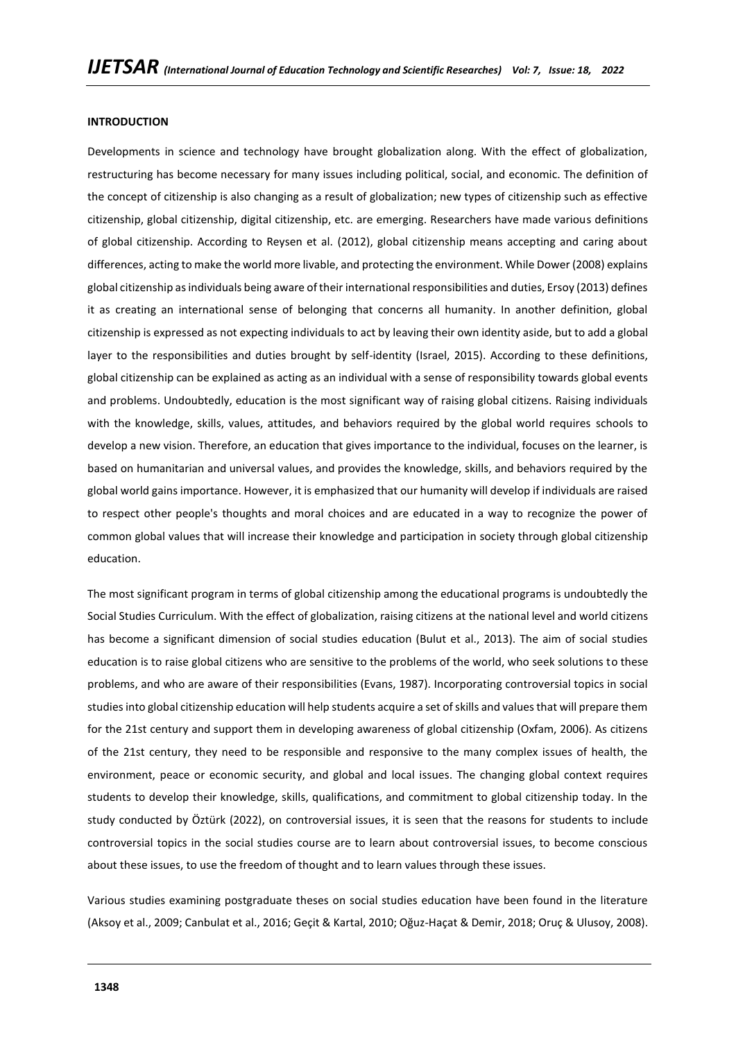#### **INTRODUCTION**

Developments in science and technology have brought globalization along. With the effect of globalization, restructuring has become necessary for many issues including political, social, and economic. The definition of the concept of citizenship is also changing as a result of globalization; new types of citizenship such as effective citizenship, global citizenship, digital citizenship, etc. are emerging. Researchers have made various definitions of global citizenship. According to Reysen et al. (2012), global citizenship means accepting and caring about differences, acting to make the world more livable, and protecting the environment. While Dower (2008) explains global citizenship as individuals being aware of their international responsibilities and duties, Ersoy (2013) defines it as creating an international sense of belonging that concerns all humanity. In another definition, global citizenship is expressed as not expecting individuals to act by leaving their own identity aside, but to add a global layer to the responsibilities and duties brought by self-identity (Israel, 2015). According to these definitions, global citizenship can be explained as acting as an individual with a sense of responsibility towards global events and problems. Undoubtedly, education is the most significant way of raising global citizens. Raising individuals with the knowledge, skills, values, attitudes, and behaviors required by the global world requires schools to develop a new vision. Therefore, an education that gives importance to the individual, focuses on the learner, is based on humanitarian and universal values, and provides the knowledge, skills, and behaviors required by the global world gains importance. However, it is emphasized that our humanity will develop if individuals are raised to respect other people's thoughts and moral choices and are educated in a way to recognize the power of common global values that will increase their knowledge and participation in society through global citizenship education.

The most significant program in terms of global citizenship among the educational programs is undoubtedly the Social Studies Curriculum. With the effect of globalization, raising citizens at the national level and world citizens has become a significant dimension of social studies education (Bulut et al., 2013). The aim of social studies education is to raise global citizens who are sensitive to the problems of the world, who seek solutions to these problems, and who are aware of their responsibilities (Evans, 1987). Incorporating controversial topics in social studies into global citizenship education will help students acquire a set of skills and values that will prepare them for the 21st century and support them in developing awareness of global citizenship (Oxfam, 2006). As citizens of the 21st century, they need to be responsible and responsive to the many complex issues of health, the environment, peace or economic security, and global and local issues. The changing global context requires students to develop their knowledge, skills, qualifications, and commitment to global citizenship today. In the study conducted by Öztürk (2022), on controversial issues, it is seen that the reasons for students to include controversial topics in the social studies course are to learn about controversial issues, to become conscious about these issues, to use the freedom of thought and to learn values through these issues.

Various studies examining postgraduate theses on social studies education have been found in the literature (Aksoy et al., 2009; Canbulat et al., 2016; Geçit & Kartal, 2010; Oğuz-Haçat & Demir, 2018; Oruç & Ulusoy, 2008).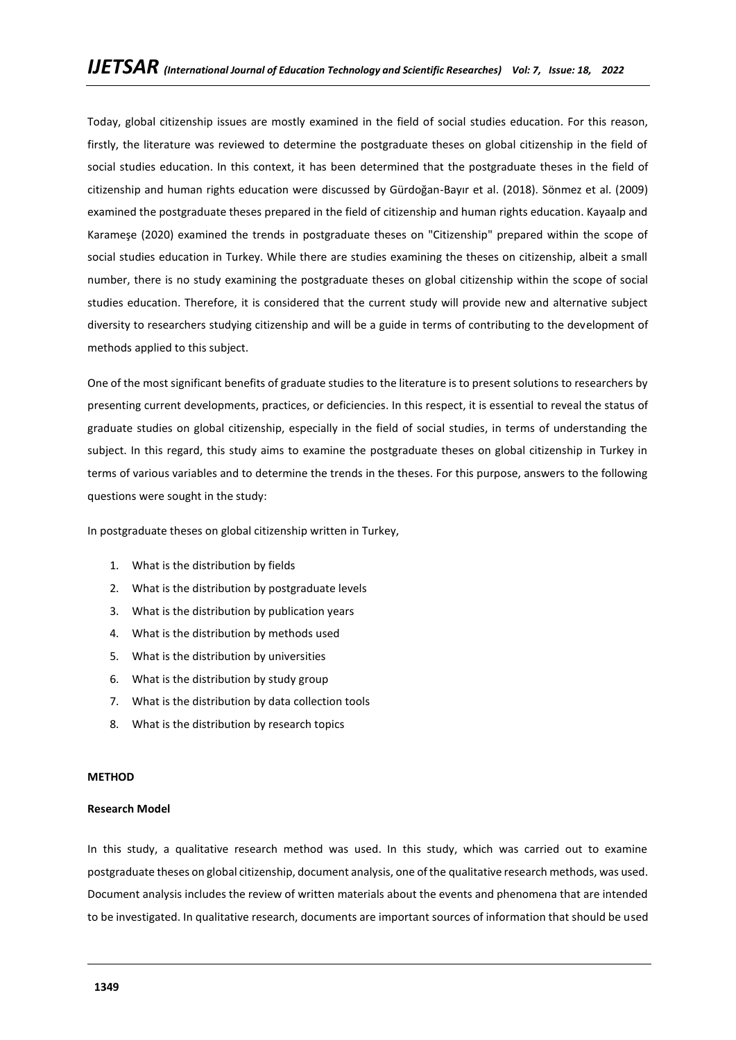Today, global citizenship issues are mostly examined in the field of social studies education. For this reason, firstly, the literature was reviewed to determine the postgraduate theses on global citizenship in the field of social studies education. In this context, it has been determined that the postgraduate theses in the field of citizenship and human rights education were discussed by Gürdoğan-Bayır et al. (2018). Sönmez et al. (2009) examined the postgraduate theses prepared in the field of citizenship and human rights education. Kayaalp and Karameşe (2020) examined the trends in postgraduate theses on "Citizenship" prepared within the scope of social studies education in Turkey. While there are studies examining the theses on citizenship, albeit a small number, there is no study examining the postgraduate theses on global citizenship within the scope of social studies education. Therefore, it is considered that the current study will provide new and alternative subject diversity to researchers studying citizenship and will be a guide in terms of contributing to the development of methods applied to this subject.

One of the most significant benefits of graduate studies to the literature is to present solutions to researchers by presenting current developments, practices, or deficiencies. In this respect, it is essential to reveal the status of graduate studies on global citizenship, especially in the field of social studies, in terms of understanding the subject. In this regard, this study aims to examine the postgraduate theses on global citizenship in Turkey in terms of various variables and to determine the trends in the theses. For this purpose, answers to the following questions were sought in the study:

In postgraduate theses on global citizenship written in Turkey,

- 1. What is the distribution by fields
- 2. What is the distribution by postgraduate levels
- 3. What is the distribution by publication years
- 4. What is the distribution by methods used
- 5. What is the distribution by universities
- 6. What is the distribution by study group
- 7. What is the distribution by data collection tools
- 8. What is the distribution by research topics

### **METHOD**

### **Research Model**

In this study, a qualitative research method was used. In this study, which was carried out to examine postgraduate theses on global citizenship, document analysis, one of the qualitative research methods, was used. Document analysis includes the review of written materials about the events and phenomena that are intended to be investigated. In qualitative research, documents are important sources of information that should be used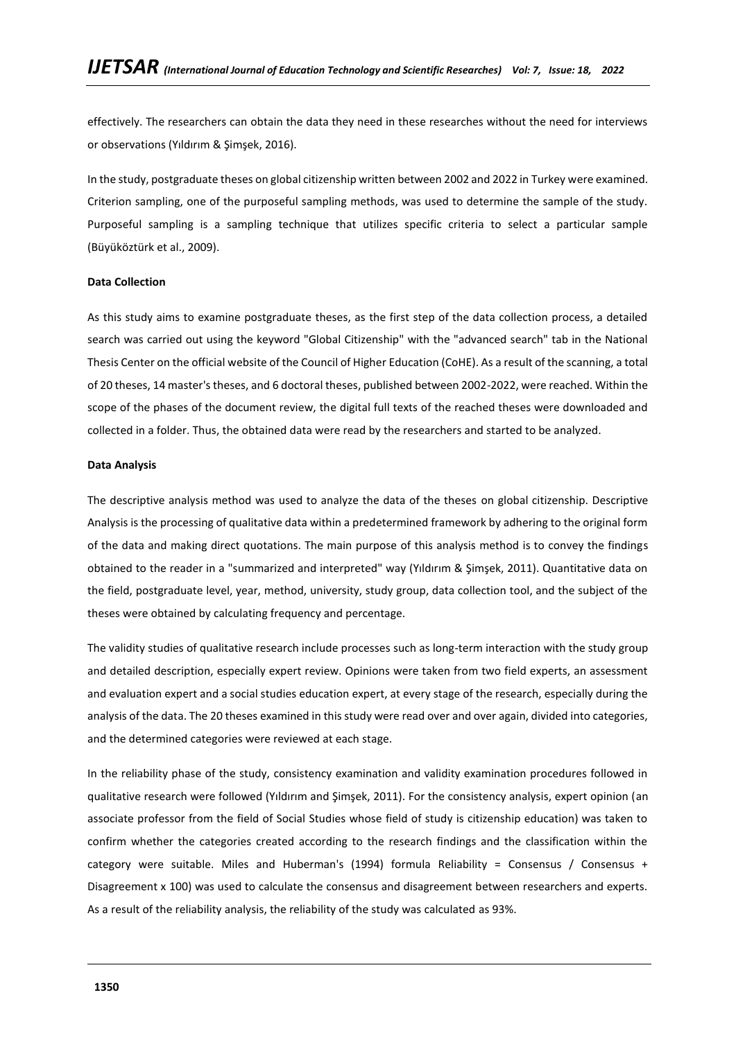effectively. The researchers can obtain the data they need in these researches without the need for interviews or observations (Yıldırım & Şimşek, 2016).

In the study, postgraduate theses on global citizenship written between 2002 and 2022 in Turkey were examined. Criterion sampling, one of the purposeful sampling methods, was used to determine the sample of the study. Purposeful sampling is a sampling technique that utilizes specific criteria to select a particular sample (Büyüköztürk et al., 2009).

### **Data Collection**

As this study aims to examine postgraduate theses, as the first step of the data collection process, a detailed search was carried out using the keyword "Global Citizenship" with the "advanced search" tab in the National Thesis Center on the official website of the Council of Higher Education (CoHE). As a result of the scanning, a total of 20 theses, 14 master's theses, and 6 doctoral theses, published between 2002-2022, were reached. Within the scope of the phases of the document review, the digital full texts of the reached theses were downloaded and collected in a folder. Thus, the obtained data were read by the researchers and started to be analyzed.

### **Data Analysis**

The descriptive analysis method was used to analyze the data of the theses on global citizenship. Descriptive Analysis is the processing of qualitative data within a predetermined framework by adhering to the original form of the data and making direct quotations. The main purpose of this analysis method is to convey the findings obtained to the reader in a "summarized and interpreted" way (Yıldırım & Şimşek, 2011). Quantitative data on the field, postgraduate level, year, method, university, study group, data collection tool, and the subject of the theses were obtained by calculating frequency and percentage.

The validity studies of qualitative research include processes such as long-term interaction with the study group and detailed description, especially expert review. Opinions were taken from two field experts, an assessment and evaluation expert and a social studies education expert, at every stage of the research, especially during the analysis of the data. The 20 theses examined in this study were read over and over again, divided into categories, and the determined categories were reviewed at each stage.

In the reliability phase of the study, consistency examination and validity examination procedures followed in qualitative research were followed (Yıldırım and Şimşek, 2011). For the consistency analysis, expert opinion (an associate professor from the field of Social Studies whose field of study is citizenship education) was taken to confirm whether the categories created according to the research findings and the classification within the category were suitable. Miles and Huberman's (1994) formula Reliability = Consensus / Consensus + Disagreement x 100) was used to calculate the consensus and disagreement between researchers and experts. As a result of the reliability analysis, the reliability of the study was calculated as 93%.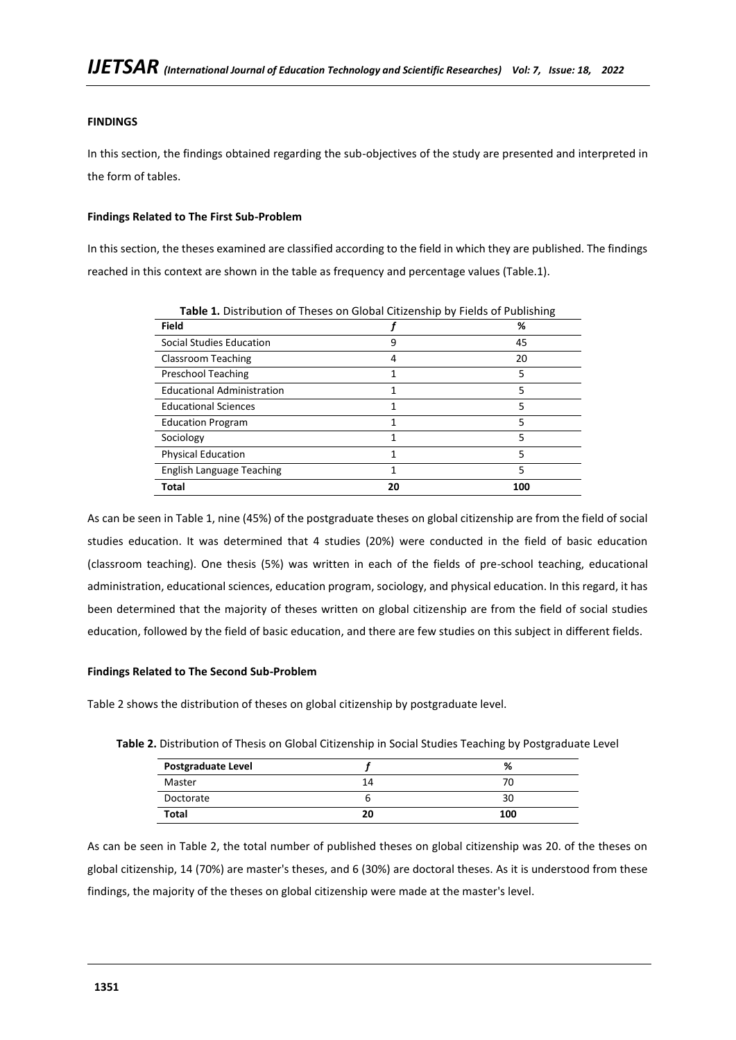# **FINDINGS**

In this section, the findings obtained regarding the sub-objectives of the study are presented and interpreted in the form of tables.

## **Findings Related to The First Sub-Problem**

In this section, the theses examined are classified according to the field in which they are published. The findings reached in this context are shown in the table as frequency and percentage values (Table.1).

| <b>Table 1.</b> Distribution of Theses on Global Citizenship by Fields of Publishing |    |     |  |
|--------------------------------------------------------------------------------------|----|-----|--|
| <b>Field</b>                                                                         |    | %   |  |
| Social Studies Education                                                             | 9  | 45  |  |
| Classroom Teaching                                                                   | 4  | 20  |  |
| <b>Preschool Teaching</b>                                                            | 1  | 5   |  |
| <b>Educational Administration</b>                                                    |    | 5   |  |
| <b>Educational Sciences</b>                                                          | 1  | 5   |  |
| <b>Education Program</b>                                                             |    | 5   |  |
| Sociology                                                                            | 1  | 5   |  |
| <b>Physical Education</b>                                                            |    | 5   |  |
| English Language Teaching                                                            |    | 5   |  |
| <b>Total</b>                                                                         | 20 | 100 |  |

**Table 1.** Distribution of Theses on Global Citizenship by Fields of Publishing

As can be seen in Table 1, nine (45%) of the postgraduate theses on global citizenship are from the field of social studies education. It was determined that 4 studies (20%) were conducted in the field of basic education (classroom teaching). One thesis (5%) was written in each of the fields of pre-school teaching, educational administration, educational sciences, education program, sociology, and physical education. In this regard, it has been determined that the majority of theses written on global citizenship are from the field of social studies education, followed by the field of basic education, and there are few studies on this subject in different fields.

## **Findings Related to The Second Sub-Problem**

Table 2 shows the distribution of theses on global citizenship by postgraduate level.

| <b>Postgraduate Level</b> |    |     |
|---------------------------|----|-----|
| Master                    | 14 |     |
| Doctorate                 |    |     |
| Total                     | 20 | 100 |

**Table 2.** Distribution of Thesis on Global Citizenship in Social Studies Teaching by Postgraduate Level

As can be seen in Table 2, the total number of published theses on global citizenship was 20. of the theses on global citizenship, 14 (70%) are master's theses, and 6 (30%) are doctoral theses. As it is understood from these findings, the majority of the theses on global citizenship were made at the master's level.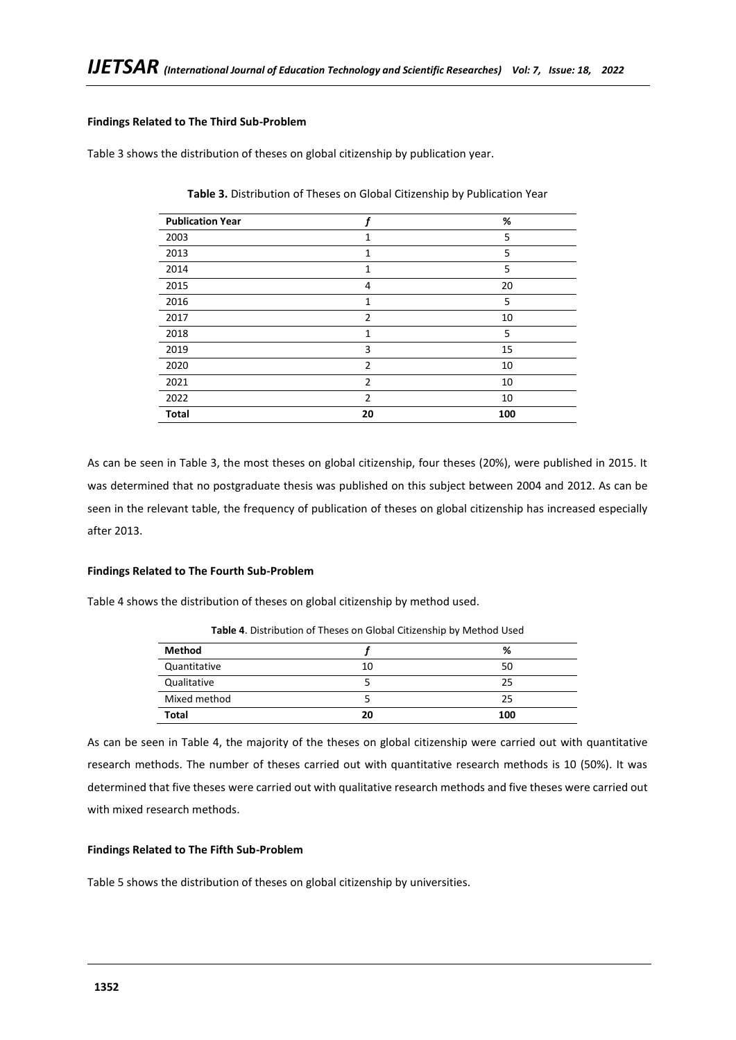## **Findings Related to The Third Sub-Problem**

Table 3 shows the distribution of theses on global citizenship by publication year.

| <b>Publication Year</b> |                | %   |
|-------------------------|----------------|-----|
| 2003                    | 1              | 5   |
| 2013                    | $\mathbf{1}$   | 5   |
| 2014                    | 1              | 5   |
| 2015                    | 4              | 20  |
| 2016                    | 1              | 5   |
| 2017                    | $\overline{2}$ | 10  |
| 2018                    | 1              | 5   |
| 2019                    | 3              | 15  |
| 2020                    | $\overline{2}$ | 10  |
| 2021                    | 2              | 10  |
| 2022                    | $\overline{2}$ | 10  |
| <b>Total</b>            | 20             | 100 |

**Table 3.** Distribution of Theses on Global Citizenship by Publication Year

As can be seen in Table 3, the most theses on global citizenship, four theses (20%), were published in 2015. It was determined that no postgraduate thesis was published on this subject between 2004 and 2012. As can be seen in the relevant table, the frequency of publication of theses on global citizenship has increased especially after 2013.

#### **Findings Related to The Fourth Sub-Problem**

Table 4 shows the distribution of theses on global citizenship by method used.

|               |    | . . |
|---------------|----|-----|
| <b>Method</b> |    | %   |
| Quantitative  | 10 | 50  |
| Qualitative   |    | 25  |
| Mixed method  |    | 25  |
| <b>Total</b>  | 20 | 100 |

**Table 4**. Distribution of Theses on Global Citizenship by Method Used

As can be seen in Table 4, the majority of the theses on global citizenship were carried out with quantitative research methods. The number of theses carried out with quantitative research methods is 10 (50%). It was determined that five theses were carried out with qualitative research methods and five theses were carried out with mixed research methods.

## **Findings Related to The Fifth Sub-Problem**

Table 5 shows the distribution of theses on global citizenship by universities.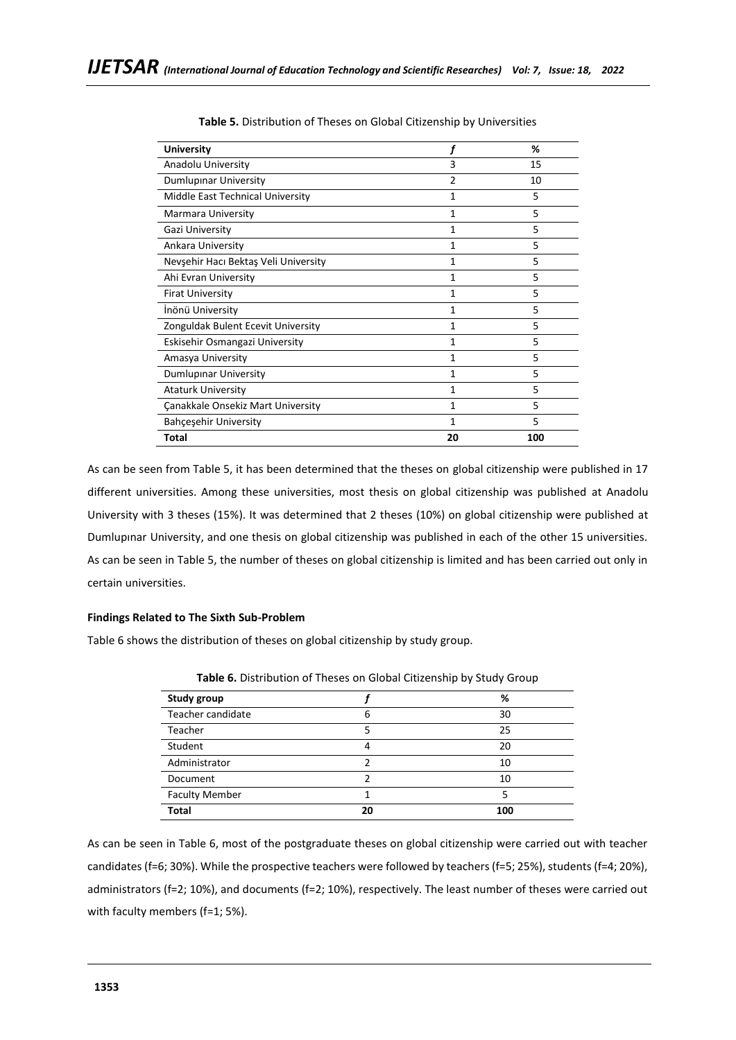| <b>University</b>                    |                | %   |
|--------------------------------------|----------------|-----|
| Anadolu University                   | 3              | 15  |
| Dumlupinar University                | $\overline{2}$ | 10  |
| Middle East Technical University     | 1              | 5   |
| Marmara University                   | 1              | 5   |
| Gazi University                      | 1              | 5   |
| Ankara University                    | 1              | 5   |
| Nevşehir Hacı Bektaş Veli University | 1              | 5   |
| Ahi Evran University                 | 1              | 5   |
| <b>Firat University</b>              | $\mathbf{1}$   | 5   |
| İnönü University                     | 1              | 5   |
| Zonguldak Bulent Ecevit University   | $\mathbf{1}$   | 5   |
| Eskisehir Osmangazi University       | 1              | 5   |
| Amasya University                    | 1              | 5   |
| Dumlupinar University                | 1              | 5   |
| <b>Ataturk University</b>            | 1              | 5   |
| Canakkale Onsekiz Mart University    | 1              | 5   |
| <b>Bahcesehir University</b>         | 1              | 5   |
| Total                                | 20             | 100 |

### **Table 5.** Distribution of Theses on Global Citizenship by Universities

As can be seen from Table 5, it has been determined that the theses on global citizenship were published in 17 different universities. Among these universities, most thesis on global citizenship was published at Anadolu University with 3 theses (15%). It was determined that 2 theses (10%) on global citizenship were published at Dumlupınar University, and one thesis on global citizenship was published in each of the other 15 universities. As can be seen in Table 5, the number of theses on global citizenship is limited and has been carried out only in certain universities.

### **Findings Related to The Sixth Sub-Problem**

Table 6 shows the distribution of theses on global citizenship by study group.

| <b>Study group</b>    |    | %   |
|-----------------------|----|-----|
| Teacher candidate     | 6  | 30  |
| Teacher               |    | 25  |
| Student               | 4  | 20  |
| Administrator         | າ  | 10  |
| Document              |    | 10  |
| <b>Faculty Member</b> |    |     |
| <b>Total</b>          | 20 | 100 |

**Table 6.** Distribution of Theses on Global Citizenship by Study Group

As can be seen in Table 6, most of the postgraduate theses on global citizenship were carried out with teacher candidates (f=6; 30%). While the prospective teachers were followed by teachers (f=5; 25%), students (f=4; 20%), administrators (f=2; 10%), and documents (f=2; 10%), respectively. The least number of theses were carried out with faculty members (f=1; 5%).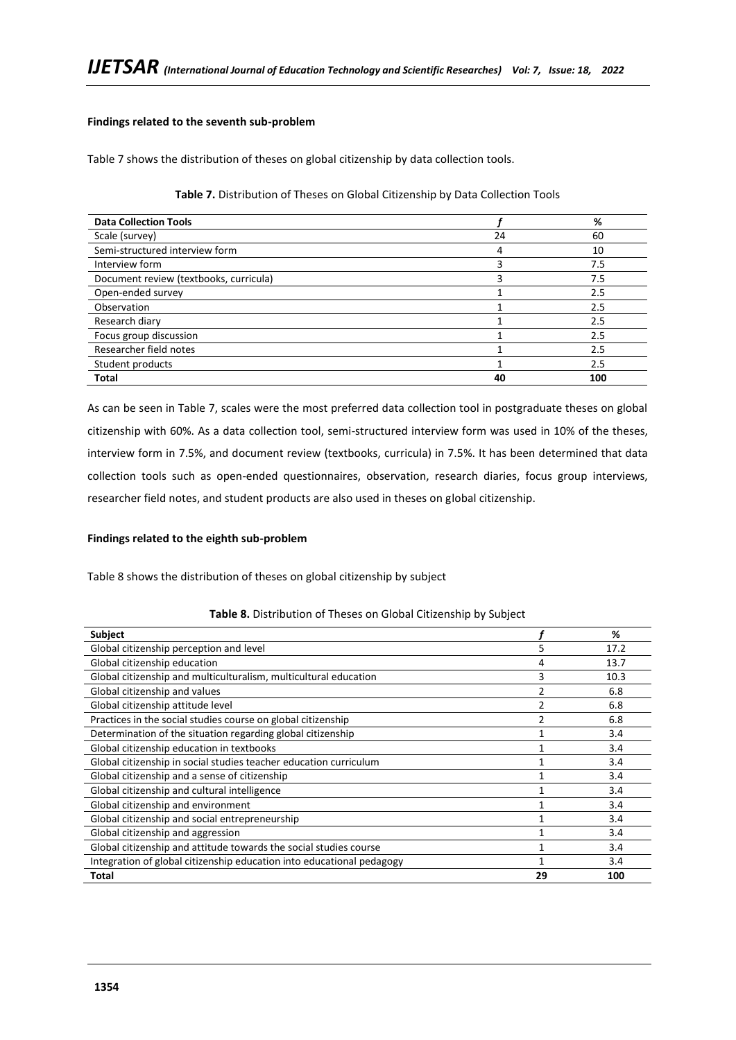## **Findings related to the seventh sub-problem**

Table 7 shows the distribution of theses on global citizenship by data collection tools.

### **Table 7.** Distribution of Theses on Global Citizenship by Data Collection Tools

| <b>Data Collection Tools</b>           |    | %   |
|----------------------------------------|----|-----|
| Scale (survey)                         | 24 | 60  |
| Semi-structured interview form         |    | 10  |
| Interview form                         |    | 7.5 |
| Document review (textbooks, curricula) |    | 7.5 |
| Open-ended survey                      |    | 2.5 |
| Observation                            |    | 2.5 |
| Research diary                         |    | 2.5 |
| Focus group discussion                 |    | 2.5 |
| Researcher field notes                 |    | 2.5 |
| Student products                       |    | 2.5 |
| <b>Total</b>                           | 40 | 100 |

As can be seen in Table 7, scales were the most preferred data collection tool in postgraduate theses on global citizenship with 60%. As a data collection tool, semi-structured interview form was used in 10% of the theses, interview form in 7.5%, and document review (textbooks, curricula) in 7.5%. It has been determined that data collection tools such as open-ended questionnaires, observation, research diaries, focus group interviews, researcher field notes, and student products are also used in theses on global citizenship.

## **Findings related to the eighth sub-problem**

Table 8 shows the distribution of theses on global citizenship by subject

| Table 8. Distribution of Theses on Global Citizenship by Subject |  |  |  |
|------------------------------------------------------------------|--|--|--|
|------------------------------------------------------------------|--|--|--|

| <b>Subject</b>                                                        |    | %    |
|-----------------------------------------------------------------------|----|------|
| Global citizenship perception and level                               | 5  | 17.2 |
| Global citizenship education                                          | 4  | 13.7 |
| Global citizenship and multiculturalism, multicultural education      | 3  | 10.3 |
| Global citizenship and values                                         | 2  | 6.8  |
| Global citizenship attitude level                                     |    | 6.8  |
| Practices in the social studies course on global citizenship          |    | 6.8  |
| Determination of the situation regarding global citizenship           |    | 3.4  |
| Global citizenship education in textbooks                             |    | 3.4  |
| Global citizenship in social studies teacher education curriculum     |    | 3.4  |
| Global citizenship and a sense of citizenship                         |    | 3.4  |
| Global citizenship and cultural intelligence                          |    | 3.4  |
| Global citizenship and environment                                    |    | 3.4  |
| Global citizenship and social entrepreneurship                        |    | 3.4  |
| Global citizenship and aggression                                     |    | 3.4  |
| Global citizenship and attitude towards the social studies course     |    | 3.4  |
| Integration of global citizenship education into educational pedagogy |    | 3.4  |
| <b>Total</b>                                                          | 29 | 100  |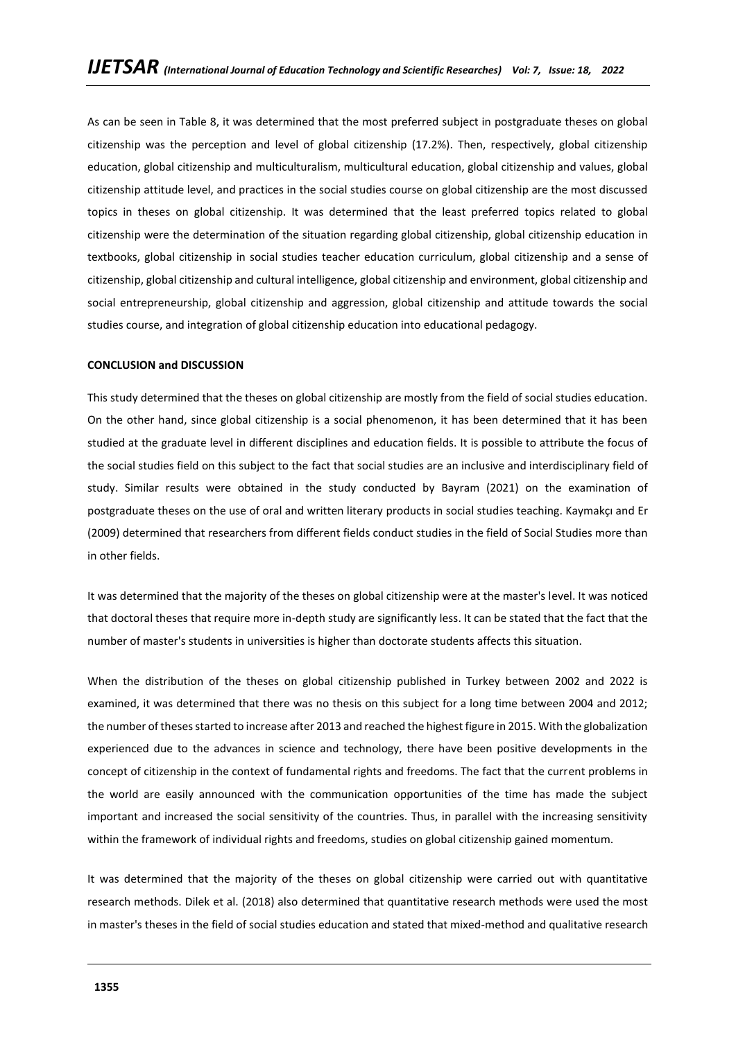As can be seen in Table 8, it was determined that the most preferred subject in postgraduate theses on global citizenship was the perception and level of global citizenship (17.2%). Then, respectively, global citizenship education, global citizenship and multiculturalism, multicultural education, global citizenship and values, global citizenship attitude level, and practices in the social studies course on global citizenship are the most discussed topics in theses on global citizenship. It was determined that the least preferred topics related to global citizenship were the determination of the situation regarding global citizenship, global citizenship education in textbooks, global citizenship in social studies teacher education curriculum, global citizenship and a sense of citizenship, global citizenship and cultural intelligence, global citizenship and environment, global citizenship and social entrepreneurship, global citizenship and aggression, global citizenship and attitude towards the social studies course, and integration of global citizenship education into educational pedagogy.

### **CONCLUSION and DISCUSSION**

This study determined that the theses on global citizenship are mostly from the field of social studies education. On the other hand, since global citizenship is a social phenomenon, it has been determined that it has been studied at the graduate level in different disciplines and education fields. It is possible to attribute the focus of the social studies field on this subject to the fact that social studies are an inclusive and interdisciplinary field of study. Similar results were obtained in the study conducted by Bayram (2021) on the examination of postgraduate theses on the use of oral and written literary products in social studies teaching. Kaymakçı and Er (2009) determined that researchers from different fields conduct studies in the field of Social Studies more than in other fields.

It was determined that the majority of the theses on global citizenship were at the master's level. It was noticed that doctoral theses that require more in-depth study are significantly less. It can be stated that the fact that the number of master's students in universities is higher than doctorate students affects this situation.

When the distribution of the theses on global citizenship published in Turkey between 2002 and 2022 is examined, it was determined that there was no thesis on this subject for a long time between 2004 and 2012; the number of theses started to increase after 2013 and reached the highest figure in 2015. With the globalization experienced due to the advances in science and technology, there have been positive developments in the concept of citizenship in the context of fundamental rights and freedoms. The fact that the current problems in the world are easily announced with the communication opportunities of the time has made the subject important and increased the social sensitivity of the countries. Thus, in parallel with the increasing sensitivity within the framework of individual rights and freedoms, studies on global citizenship gained momentum.

It was determined that the majority of the theses on global citizenship were carried out with quantitative research methods. Dilek et al. (2018) also determined that quantitative research methods were used the most in master's theses in the field of social studies education and stated that mixed-method and qualitative research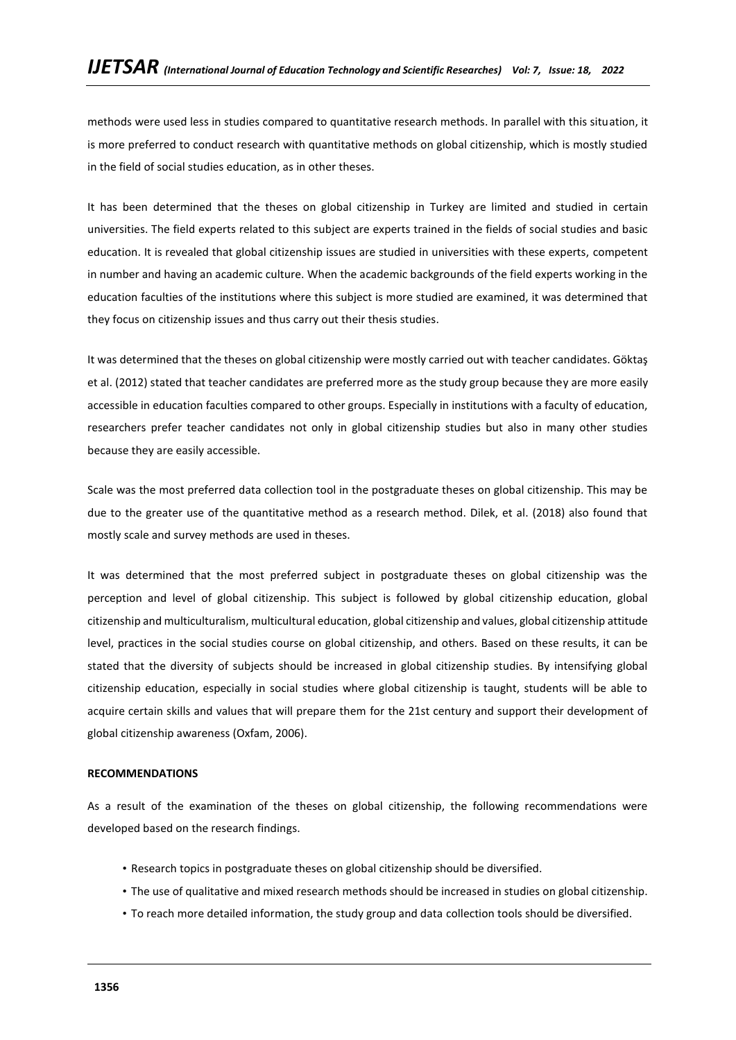methods were used less in studies compared to quantitative research methods. In parallel with this situation, it is more preferred to conduct research with quantitative methods on global citizenship, which is mostly studied in the field of social studies education, as in other theses.

It has been determined that the theses on global citizenship in Turkey are limited and studied in certain universities. The field experts related to this subject are experts trained in the fields of social studies and basic education. It is revealed that global citizenship issues are studied in universities with these experts, competent in number and having an academic culture. When the academic backgrounds of the field experts working in the education faculties of the institutions where this subject is more studied are examined, it was determined that they focus on citizenship issues and thus carry out their thesis studies.

It was determined that the theses on global citizenship were mostly carried out with teacher candidates. Göktaş et al. (2012) stated that teacher candidates are preferred more as the study group because they are more easily accessible in education faculties compared to other groups. Especially in institutions with a faculty of education, researchers prefer teacher candidates not only in global citizenship studies but also in many other studies because they are easily accessible.

Scale was the most preferred data collection tool in the postgraduate theses on global citizenship. This may be due to the greater use of the quantitative method as a research method. Dilek, et al. (2018) also found that mostly scale and survey methods are used in theses.

It was determined that the most preferred subject in postgraduate theses on global citizenship was the perception and level of global citizenship. This subject is followed by global citizenship education, global citizenship and multiculturalism, multicultural education, global citizenship and values, global citizenship attitude level, practices in the social studies course on global citizenship, and others. Based on these results, it can be stated that the diversity of subjects should be increased in global citizenship studies. By intensifying global citizenship education, especially in social studies where global citizenship is taught, students will be able to acquire certain skills and values that will prepare them for the 21st century and support their development of global citizenship awareness (Oxfam, 2006).

## **RECOMMENDATIONS**

As a result of the examination of the theses on global citizenship, the following recommendations were developed based on the research findings.

- Research topics in postgraduate theses on global citizenship should be diversified.
- The use of qualitative and mixed research methods should be increased in studies on global citizenship.
- To reach more detailed information, the study group and data collection tools should be diversified.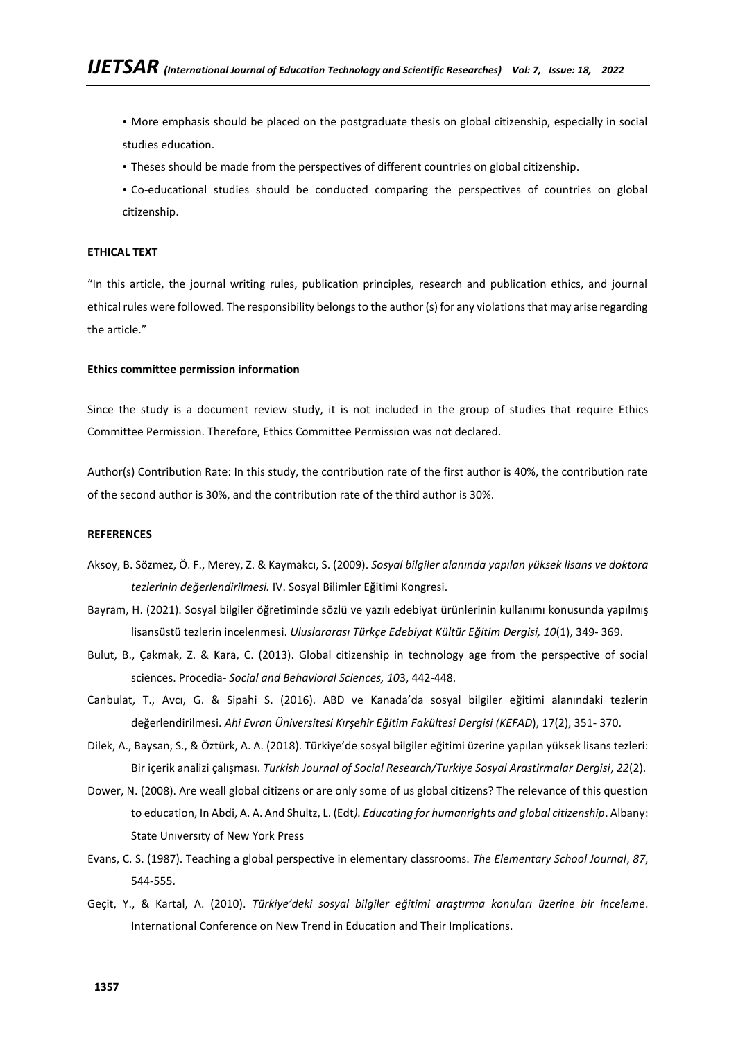• More emphasis should be placed on the postgraduate thesis on global citizenship, especially in social studies education.

- Theses should be made from the perspectives of different countries on global citizenship.
- Co-educational studies should be conducted comparing the perspectives of countries on global citizenship.

### **ETHICAL TEXT**

"In this article, the journal writing rules, publication principles, research and publication ethics, and journal ethical rules were followed. The responsibility belongs to the author (s) for any violations that may arise regarding the article."

### **Ethics committee permission information**

Since the study is a document review study, it is not included in the group of studies that require Ethics Committee Permission. Therefore, Ethics Committee Permission was not declared.

Author(s) Contribution Rate: In this study, the contribution rate of the first author is 40%, the contribution rate of the second author is 30%, and the contribution rate of the third author is 30%.

### **REFERENCES**

- Aksoy, B. Sözmez, Ö. F., Merey, Z. & Kaymakcı, S. (2009). *Sosyal bilgiler alanında yapılan yüksek lisans ve doktora tezlerinin değerlendirilmesi.* IV. Sosyal Bilimler Eğitimi Kongresi.
- Bayram, H. (2021). Sosyal bilgiler öğretiminde sözlü ve yazılı edebiyat ürünlerinin kullanımı konusunda yapılmış lisansüstü tezlerin incelenmesi. *Uluslararası Türkçe Edebiyat Kültür Eğitim Dergisi, 10*(1), 349- 369.
- Bulut, B., Çakmak, Z. & Kara, C. (2013). Global citizenship in technology age from the perspective of social sciences. Procedia- *Social and Behavioral Sciences, 10*3, 442-448.
- Canbulat, T., Avcı, G. & Sipahi S. (2016). ABD ve Kanada'da sosyal bilgiler eğitimi alanındaki tezlerin değerlendirilmesi. *Ahi Evran Üniversitesi Kırşehir Eğitim Fakültesi Dergisi (KEFAD*), 17(2), 351- 370.
- Dilek, A., Baysan, S., & Öztürk, A. A. (2018). Türkiye'de sosyal bilgiler eğitimi üzerine yapılan yüksek lisans tezleri: Bir içerik analizi çalışması. *Turkish Journal of Social Research/Turkiye Sosyal Arastirmalar Dergisi*, *22*(2).
- Dower, N. (2008). Are weall global citizens or are only some of us global citizens? The relevance of this question to education, In Abdi, A. A. And Shultz, L. (Edt*). Educating for humanrights and global citizenship*. Albany: State Unıversıty of New York Press
- Evans, C. S. (1987). Teaching a global perspective in elementary classrooms. *The Elementary School Journal*, *87*, 544-555.
- Geçit, Y., & Kartal, A. (2010). *Türkiye'deki sosyal bilgiler eğitimi araştırma konuları üzerine bir inceleme*. International Conference on New Trend in Education and Their Implications.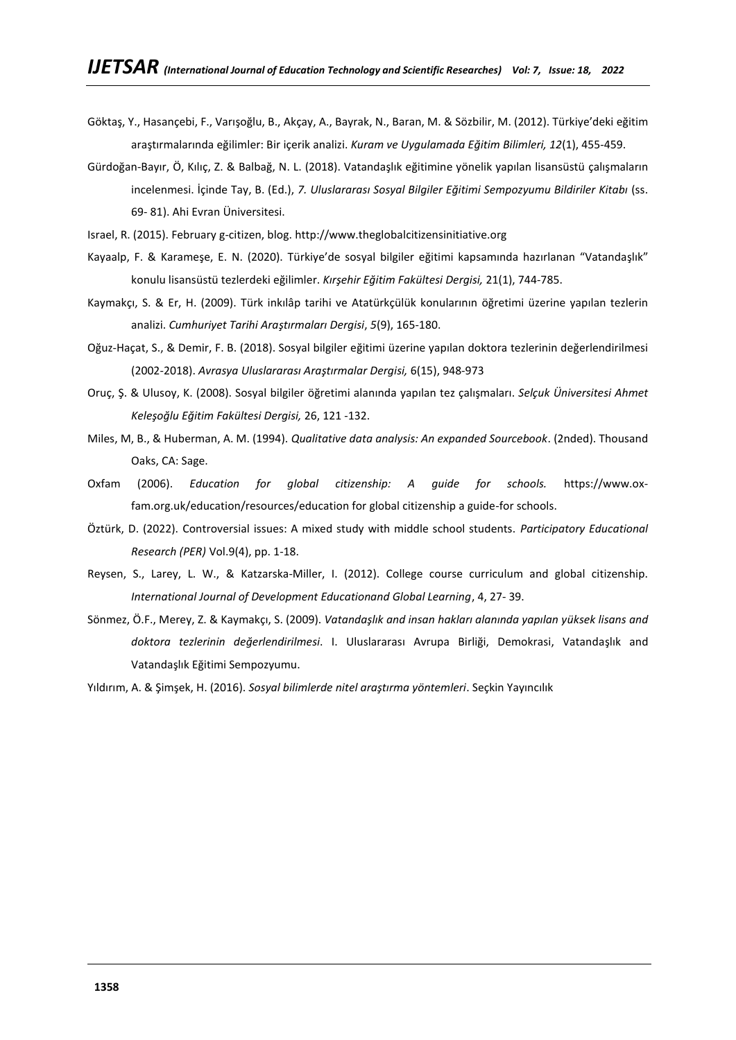- Göktaş, Y., Hasançebi, F., Varışoğlu, B., Akçay, A., Bayrak, N., Baran, M. & Sözbilir, M. (2012). Türkiye'deki eğitim araştırmalarında eğilimler: Bir içerik analizi. *Kuram ve Uygulamada Eğitim Bilimleri, 12*(1), 455-459.
- Gürdoğan-Bayır, Ö, Kılıç, Z. & Balbağ, N. L. (2018). Vatandaşlık eğitimine yönelik yapılan lisansüstü çalışmaların incelenmesi. İçinde Tay, B. (Ed.), 7. Uluslararası Sosyal Bilgiler Eğitimi Sempozyumu Bildiriler Kitabı (ss. 69- 81). Ahi Evran Üniversitesi.
- Israel, R. (2015). February g-citizen, blog[. http://www.theglobalcitizensinitiative.org](http://www.theglobalcitizensinitiative.org/)
- Kayaalp, F. & Karameşe, E. N. (2020). Türkiye'de sosyal bilgiler eğitimi kapsamında hazırlanan "Vatandaşlık" konulu lisansüstü tezlerdeki eğilimler. *Kırşehir Eğitim Fakültesi Dergisi,* 21(1), 744-785.
- Kaymakçı, S. & Er, H. (2009). Türk inkılâp tarihi ve Atatürkçülük konularının öğretimi üzerine yapılan tezlerin analizi. *Cumhuriyet Tarihi Araştırmaları Dergisi*, *5*(9), 165-180.
- Oğuz-Haçat, S., & Demir, F. B. (2018). Sosyal bilgiler eğitimi üzerine yapılan doktora tezlerinin değerlendirilmesi (2002-2018). *Avrasya Uluslararası Araştırmalar Dergisi,* 6(15), 948-973
- Oruç, Ş. & Ulusoy, K. (2008). Sosyal bilgiler öğretimi alanında yapılan tez çalışmaları. *Selçuk Üniversitesi Ahmet Keleşoğlu Eğitim Fakültesi Dergisi,* 26, 121 -132.
- Miles, M, B., & Huberman, A. M. (1994). *Qualitative data analysis: An expanded Sourcebook*. (2nded). Thousand Oaks, CA: Sage.
- Oxfam (2006). *Education for global citizenship: A guide for schools.* https://www.oxfam.org.uk/education/resources/education for global citizenship a guide-for schools.
- Öztürk, D. (2022). Controversial issues: A mixed study with middle school students. *Participatory Educational Research (PER)* Vol.9(4), pp. 1-18.
- Reysen, S., Larey, L. W., & Katzarska-Miller, I. (2012). College course curriculum and global citizenship. *International Journal of Development Educationand Global Learning*, 4, 27- 39.
- Sönmez, Ö.F., Merey, Z. & Kaymakçı, S. (2009). *Vatandaşlık and insan hakları alanında yapılan yüksek lisans and doktora tezlerinin değerlendirilmesi*. I. Uluslararası Avrupa Birliği, Demokrasi, Vatandaşlık and Vatandaşlık Eğitimi Sempozyumu.
- Yıldırım, A. & Şimşek, H. (2016). *Sosyal bilimlerde nitel araştırma yöntemleri*. Seçkin Yayıncılık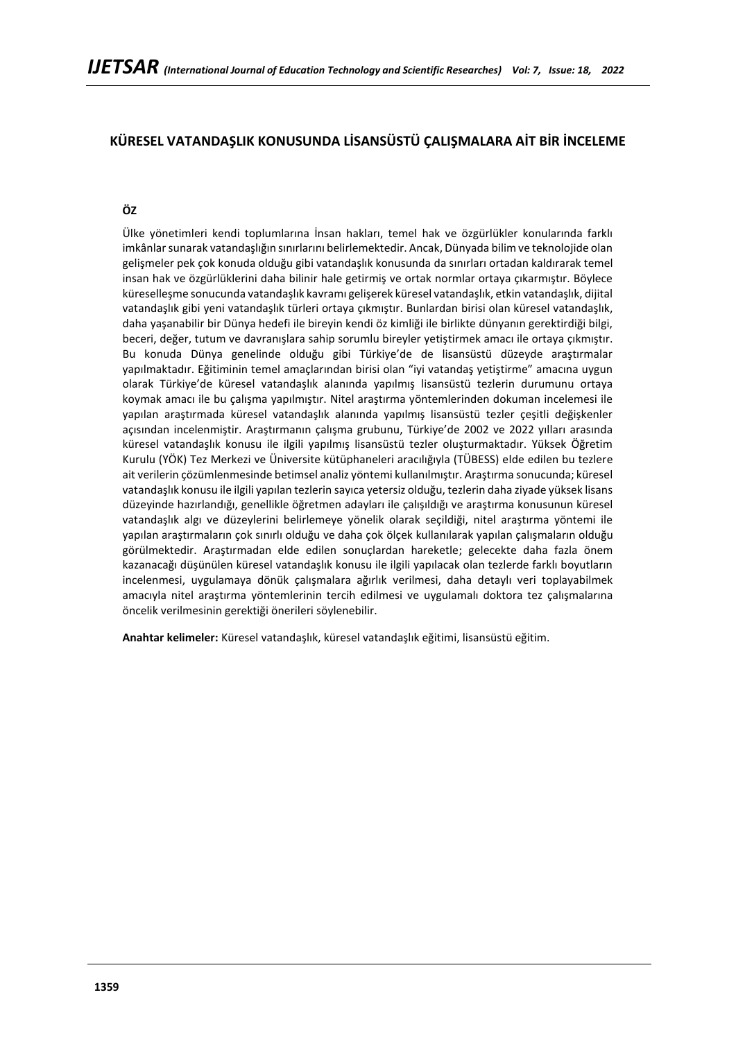# **KÜRESEL VATANDAŞLIK KONUSUNDA LİSANSÜSTÜ ÇALIŞMALARA AİT BİR İNCELEME**

# **ÖZ**

Ülke yönetimleri kendi toplumlarına İnsan hakları, temel hak ve özgürlükler konularında farklı imkânlar sunarak vatandaşlığın sınırlarını belirlemektedir. Ancak, Dünyada bilim ve teknolojide olan gelişmeler pek çok konuda olduğu gibi vatandaşlık konusunda da sınırları ortadan kaldırarak temel insan hak ve özgürlüklerini daha bilinir hale getirmiş ve ortak normlar ortaya çıkarmıştır. Böylece küreselleşme sonucunda vatandaşlık kavramı gelişerek küresel vatandaşlık, etkin vatandaşlık, dijital vatandaşlık gibi yeni vatandaşlık türleri ortaya çıkmıştır. Bunlardan birisi olan küresel vatandaşlık, daha yaşanabilir bir Dünya hedefi ile bireyin kendi öz kimliği ile birlikte dünyanın gerektirdiği bilgi, beceri, değer, tutum ve davranışlara sahip sorumlu bireyler yetiştirmek amacı ile ortaya çıkmıştır. Bu konuda Dünya genelinde olduğu gibi Türkiye'de de lisansüstü düzeyde araştırmalar yapılmaktadır. Eğitiminin temel amaçlarından birisi olan "iyi vatandaş yetiştirme" amacına uygun olarak Türkiye'de küresel vatandaşlık alanında yapılmış lisansüstü tezlerin durumunu ortaya koymak amacı ile bu çalışma yapılmıştır. Nitel araştırma yöntemlerinden dokuman incelemesi ile yapılan araştırmada küresel vatandaşlık alanında yapılmış lisansüstü tezler çeşitli değişkenler açısından incelenmiştir. Araştırmanın çalışma grubunu, Türkiye'de 2002 ve 2022 yılları arasında küresel vatandaşlık konusu ile ilgili yapılmış lisansüstü tezler oluşturmaktadır. Yüksek Öğretim Kurulu (YÖK) Tez Merkezi ve Üniversite kütüphaneleri aracılığıyla (TÜBESS) elde edilen bu tezlere ait verilerin çözümlenmesinde betimsel analiz yöntemi kullanılmıştır. Araştırma sonucunda; küresel vatandaşlık konusu ile ilgili yapılan tezlerin sayıca yetersiz olduğu, tezlerin daha ziyade yüksek lisans düzeyinde hazırlandığı, genellikle öğretmen adayları ile çalışıldığı ve araştırma konusunun küresel vatandaşlık algı ve düzeylerini belirlemeye yönelik olarak seçildiği, nitel araştırma yöntemi ile yapılan araştırmaların çok sınırlı olduğu ve daha çok ölçek kullanılarak yapılan çalışmaların olduğu görülmektedir. Araştırmadan elde edilen sonuçlardan hareketle; gelecekte daha fazla önem kazanacağı düşünülen küresel vatandaşlık konusu ile ilgili yapılacak olan tezlerde farklı boyutların incelenmesi, uygulamaya dönük çalışmalara ağırlık verilmesi, daha detaylı veri toplayabilmek amacıyla nitel araştırma yöntemlerinin tercih edilmesi ve uygulamalı doktora tez çalışmalarına öncelik verilmesinin gerektiği önerileri söylenebilir.

**Anahtar kelimeler:** Küresel vatandaşlık, küresel vatandaşlık eğitimi, lisansüstü eğitim.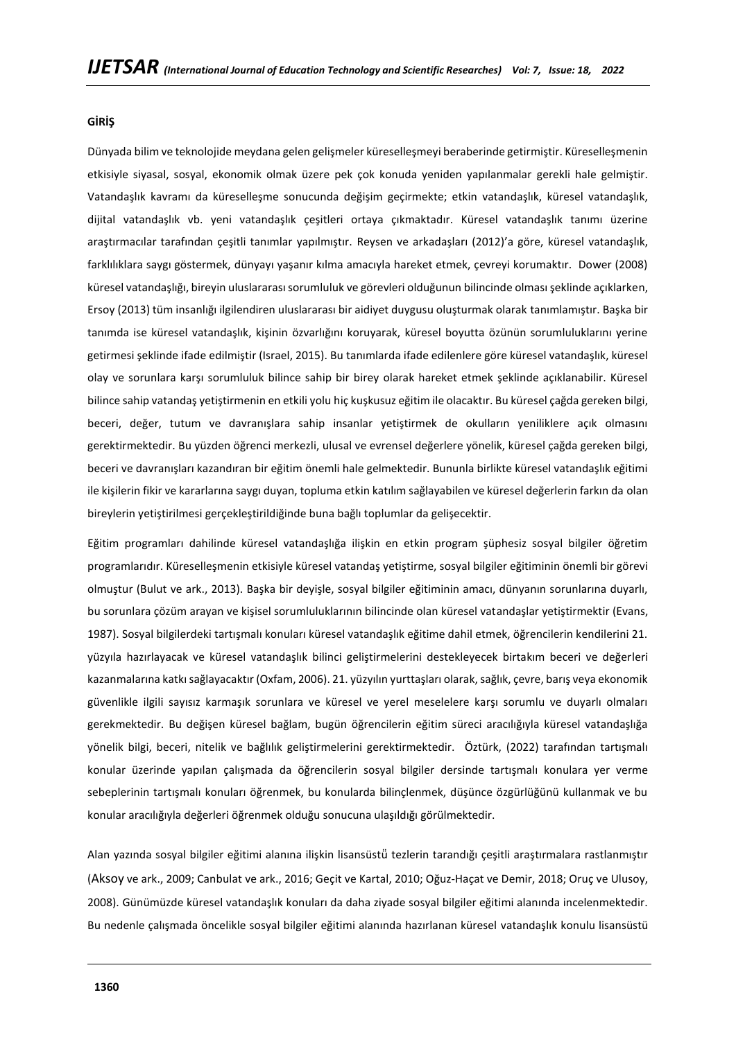### **GİRİŞ**

Dünyada bilim ve teknolojide meydana gelen gelişmeler küreselleşmeyi beraberinde getirmiştir. Küreselleşmenin etkisiyle siyasal, sosyal, ekonomik olmak üzere pek çok konuda yeniden yapılanmalar gerekli hale gelmiştir. Vatandaşlık kavramı da küreselleşme sonucunda değişim geçirmekte; etkin vatandaşlık, küresel vatandaşlık, dijital vatandaşlık vb. yeni vatandaşlık çeşitleri ortaya çıkmaktadır. Küresel vatandaşlık tanımı üzerine araştırmacılar tarafından çeşitli tanımlar yapılmıştır. Reysen ve arkadaşları (2012)'a göre, küresel vatandaşlık, farklılıklara saygı göstermek, dünyayı yaşanır kılma amacıyla hareket etmek, çevreyi korumaktır. Dower (2008) küresel vatandaşlığı, bireyin uluslararası sorumluluk ve görevleri olduğunun bilincinde olması şeklinde açıklarken, Ersoy (2013) tüm insanlığı ilgilendiren uluslararası bir aidiyet duygusu oluşturmak olarak tanımlamıştır. Başka bir tanımda ise küresel vatandaşlık, kişinin özvarlığını koruyarak, küresel boyutta özünün sorumluluklarını yerine getirmesi şeklinde ifade edilmiştir (Israel, 2015). Bu tanımlarda ifade edilenlere göre küresel vatandaşlık, küresel olay ve sorunlara karşı sorumluluk bilince sahip bir birey olarak hareket etmek şeklinde açıklanabilir. Küresel bilince sahip vatandaş yetiştirmenin en etkili yolu hiç kuşkusuz eğitim ile olacaktır. Bu küresel çağda gereken bilgi, beceri, değer, tutum ve davranışlara sahip insanlar yetiştirmek de okulların yeniliklere açık olmasını gerektirmektedir. Bu yüzden öğrenci merkezli, ulusal ve evrensel değerlere yönelik, küresel çağda gereken bilgi, beceri ve davranışları kazandıran bir eğitim önemli hale gelmektedir. Bununla birlikte küresel vatandaşlık eğitimi ile kişilerin fikir ve kararlarına saygı duyan, topluma etkin katılım sağlayabilen ve küresel değerlerin farkın da olan bireylerin yetiştirilmesi gerçekleştirildiğinde buna bağlı toplumlar da gelişecektir.

Eğitim programları dahilinde küresel vatandaşlığa ilişkin en etkin program şüphesiz sosyal bilgiler öğretim programlarıdır. Küreselleşmenin etkisiyle küresel vatandaş yetiştirme, sosyal bilgiler eğitiminin önemli bir görevi olmuştur (Bulut ve ark., 2013). Başka bir deyişle, sosyal bilgiler eğitiminin amacı, dünyanın sorunlarına duyarlı, bu sorunlara çözüm arayan ve kişisel sorumluluklarının bilincinde olan küresel vatandaşlar yetiştirmektir (Evans, 1987). Sosyal bilgilerdeki tartışmalı konuları küresel vatandaşlık eğitime dahil etmek, öğrencilerin kendilerini 21. yüzyıla hazırlayacak ve küresel vatandaşlık bilinci geliştirmelerini destekleyecek birtakım beceri ve değerleri kazanmalarına katkı sağlayacaktır (Oxfam, 2006). 21. yüzyılın yurttaşları olarak, sağlık, çevre, barış veya ekonomik güvenlikle ilgili sayısız karmaşık sorunlara ve küresel ve yerel meselelere karşı sorumlu ve duyarlı olmaları gerekmektedir. Bu değişen küresel bağlam, bugün öğrencilerin eğitim süreci aracılığıyla küresel vatandaşlığa yönelik bilgi, beceri, nitelik ve bağlılık geliştirmelerini gerektirmektedir. Öztürk, (2022) tarafından tartışmalı konular üzerinde yapılan çalışmada da öğrencilerin sosyal bilgiler dersinde tartışmalı konulara yer verme sebeplerinin tartışmalı konuları öğrenmek, bu konularda bilinçlenmek, düşünce özgürlüğünü kullanmak ve bu konular aracılığıyla değerleri öğrenmek olduğu sonucuna ulaşıldığı görülmektedir.

Alan yazında sosyal bilgiler eğitimi alanına ilişkin lisansüstü tezlerin tarandığı çeşitli araştırmalara rastlanmıştır (Aksoy ve ark., 2009; Canbulat ve ark., 2016; Geçit ve Kartal, 2010; Oğuz-Haçat ve Demir, 2018; Oruç ve Ulusoy, 2008). Günümüzde küresel vatandaşlık konuları da daha ziyade sosyal bilgiler eğitimi alanında incelenmektedir. Bu nedenle çalışmada öncelikle sosyal bilgiler eğitimi alanında hazırlanan küresel vatandaşlık konulu lisansüstü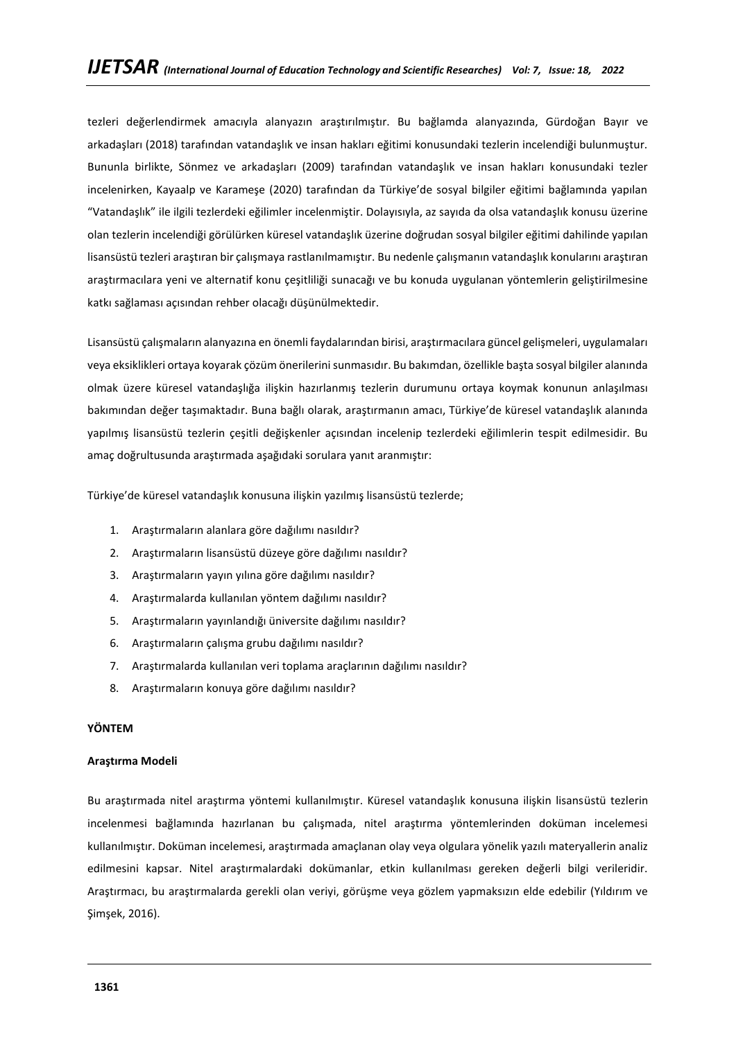tezleri değerlendirmek amacıyla alanyazın araştırılmıştır. Bu bağlamda alanyazında, Gürdoğan Bayır ve arkadaşları (2018) tarafından vatandaşlık ve insan hakları eğitimi konusundaki tezlerin incelendiği bulunmuştur. Bununla birlikte, Sönmez ve arkadaşları (2009) tarafından vatandaşlık ve insan hakları konusundaki tezler incelenirken, Kayaalp ve Karameşe (2020) tarafından da Türkiye'de sosyal bilgiler eğitimi bağlamında yapılan "Vatandaşlık" ile ilgili tezlerdeki eğilimler incelenmiştir. Dolayısıyla, az sayıda da olsa vatandaşlık konusu üzerine olan tezlerin incelendiği görülürken küresel vatandaşlık üzerine doğrudan sosyal bilgiler eğitimi dahilinde yapılan lisansüstü tezleri araştıran bir çalışmaya rastlanılmamıştır. Bu nedenle çalışmanın vatandaşlık konularını araştıran araştırmacılara yeni ve alternatif konu çeşitliliği sunacağı ve bu konuda uygulanan yöntemlerin geliştirilmesine katkı sağlaması açısından rehber olacağı düşünülmektedir.

Lisansüstü çalışmaların alanyazına en önemli faydalarından birisi, araştırmacılara güncel gelişmeleri, uygulamaları veya eksiklikleri ortaya koyarak çözüm önerilerini sunmasıdır. Bu bakımdan, özellikle başta sosyal bilgiler alanında olmak üzere küresel vatandaşlığa ilişkin hazırlanmış tezlerin durumunu ortaya koymak konunun anlaşılması bakımından değer taşımaktadır. Buna bağlı olarak, araştırmanın amacı, Türkiye'de küresel vatandaşlık alanında yapılmış lisansüstü tezlerin çeşitli değişkenler açısından incelenip tezlerdeki eğilimlerin tespit edilmesidir. Bu amaç doğrultusunda araştırmada aşağıdaki sorulara yanıt aranmıştır:

Türkiye'de küresel vatandaşlık konusuna ilişkin yazılmış lisansüstü tezlerde;

- 1. Araştırmaların alanlara göre dağılımı nasıldır?
- 2. Araştırmaların lisansüstü düzeye göre dağılımı nasıldır?
- 3. Araştırmaların yayın yılına göre dağılımı nasıldır?
- 4. Araştırmalarda kullanılan yöntem dağılımı nasıldır?
- 5. Araştırmaların yayınlandığı üniversite dağılımı nasıldır?
- 6. Araştırmaların çalışma grubu dağılımı nasıldır?
- 7. Araştırmalarda kullanılan veri toplama araçlarının dağılımı nasıldır?
- 8. Araştırmaların konuya göre dağılımı nasıldır?

## **YÖNTEM**

## **Araştırma Modeli**

Bu araştırmada nitel araştırma yöntemi kullanılmıştır. Küresel vatandaşlık konusuna ilişkin lisansüstü tezlerin incelenmesi bağlamında hazırlanan bu çalışmada, nitel araştırma yöntemlerinden doküman incelemesi kullanılmıştır. Doküman incelemesi, araştırmada amaçlanan olay veya olgulara yönelik yazılı materyallerin analiz edilmesini kapsar. Nitel araştırmalardaki dokümanlar, etkin kullanılması gereken değerli bilgi verileridir. Araştırmacı, bu araştırmalarda gerekli olan veriyi, görüşme veya gözlem yapmaksızın elde edebilir (Yıldırım ve Şimşek, 2016).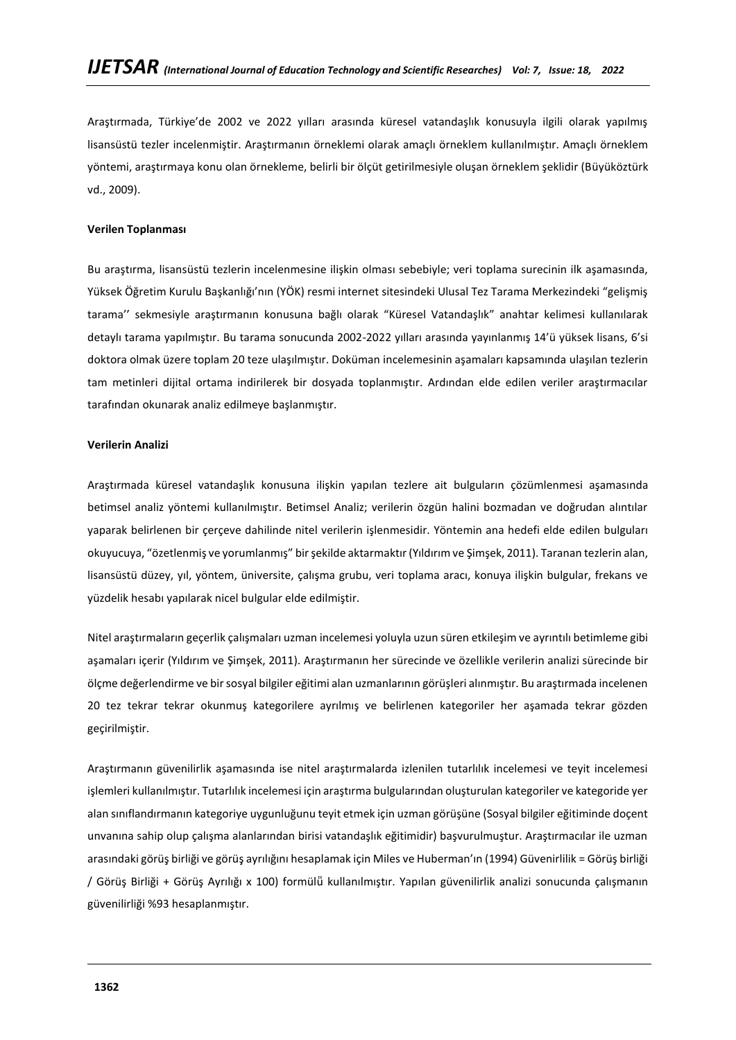Araştırmada, Türkiye'de 2002 ve 2022 yılları arasında küresel vatandaşlık konusuyla ilgili olarak yapılmış lisansüstü tezler incelenmiştir. Araştırmanın örneklemi olarak amaçlı örneklem kullanılmıştır. Amaçlı örneklem yöntemi, araştırmaya konu olan örnekleme, belirli bir ölçüt getirilmesiyle oluşan örneklem şeklidir (Büyüköztürk vd., 2009).

## **Verilen Toplanması**

Bu araştırma, lisansüstü tezlerin incelenmesine ilişkin olması sebebiyle; veri toplama surecinin ilk aşamasında, Yüksek Öğretim Kurulu Başkanlığı'nın (YÖK) resmi internet sitesindeki Ulusal Tez Tarama Merkezindeki "gelişmiş tarama'' sekmesiyle araştırmanın konusuna bağlı olarak "Küresel Vatandaşlık" anahtar kelimesi kullanılarak detaylı tarama yapılmıştır. Bu tarama sonucunda 2002-2022 yılları arasında yayınlanmış 14'ü yüksek lisans, 6'si doktora olmak üzere toplam 20 teze ulaşılmıştır. Doküman incelemesinin aşamaları kapsamında ulaşılan tezlerin tam metinleri dijital ortama indirilerek bir dosyada toplanmıştır. Ardından elde edilen veriler araştırmacılar tarafından okunarak analiz edilmeye başlanmıştır.

## **Verilerin Analizi**

Araştırmada küresel vatandaşlık konusuna ilişkin yapılan tezlere ait bulguların çözümlenmesi aşamasında betimsel analiz yöntemi kullanılmıştır. Betimsel Analiz; verilerin özgün halini bozmadan ve doğrudan alıntılar yaparak belirlenen bir çerçeve dahilinde nitel verilerin işlenmesidir. Yöntemin ana hedefi elde edilen bulguları okuyucuya, "özetlenmiş ve yorumlanmış" bir şekilde aktarmaktır (Yıldırım ve Şimşek, 2011). Taranan tezlerin alan, lisansüstü düzey, yıl, yöntem, üniversite, çalışma grubu, veri toplama aracı, konuya ilişkin bulgular, frekans ve yüzdelik hesabı yapılarak nicel bulgular elde edilmiştir.

Nitel araştırmaların geçerlik çalışmaları uzman incelemesi yoluyla uzun süren etkileşim ve ayrıntılı betimleme gibi aşamaları içerir (Yıldırım ve Şimşek, 2011). Araştırmanın her sürecinde ve özellikle verilerin analizi sürecinde bir ölçme değerlendirme ve bir sosyal bilgiler eğitimi alan uzmanlarının görüşleri alınmıştır. Bu araştırmada incelenen 20 tez tekrar tekrar okunmuş kategorilere ayrılmış ve belirlenen kategoriler her aşamada tekrar gözden geçirilmiştir.

Araştırmanın güvenilirlik aşamasında ise nitel araştırmalarda izlenilen tutarlılık incelemesi ve teyit incelemesi işlemleri kullanılmıştır. Tutarlılık incelemesi için araştırma bulgularından oluşturulan kategoriler ve kategoride yer alan sınıflandırmanın kategoriye uygunluğunu teyit etmek için uzman görüşüne (Sosyal bilgiler eğitiminde doçent unvanına sahip olup çalışma alanlarından birisi vatandaşlık eğitimidir) başvurulmuştur. Araştırmacılar ile uzman arasındaki görüş birliği ve görüş ayrılığını hesaplamak için Miles ve Huberman'ın (1994) Güvenirlilik = Görüş birliği / Görüş Birliği + Görüş Ayrılığı x 100) formülü̈kullanılmıştır. Yapılan güvenilirlik analizi sonucunda çalışmanın güvenilirliği %93 hesaplanmıştır.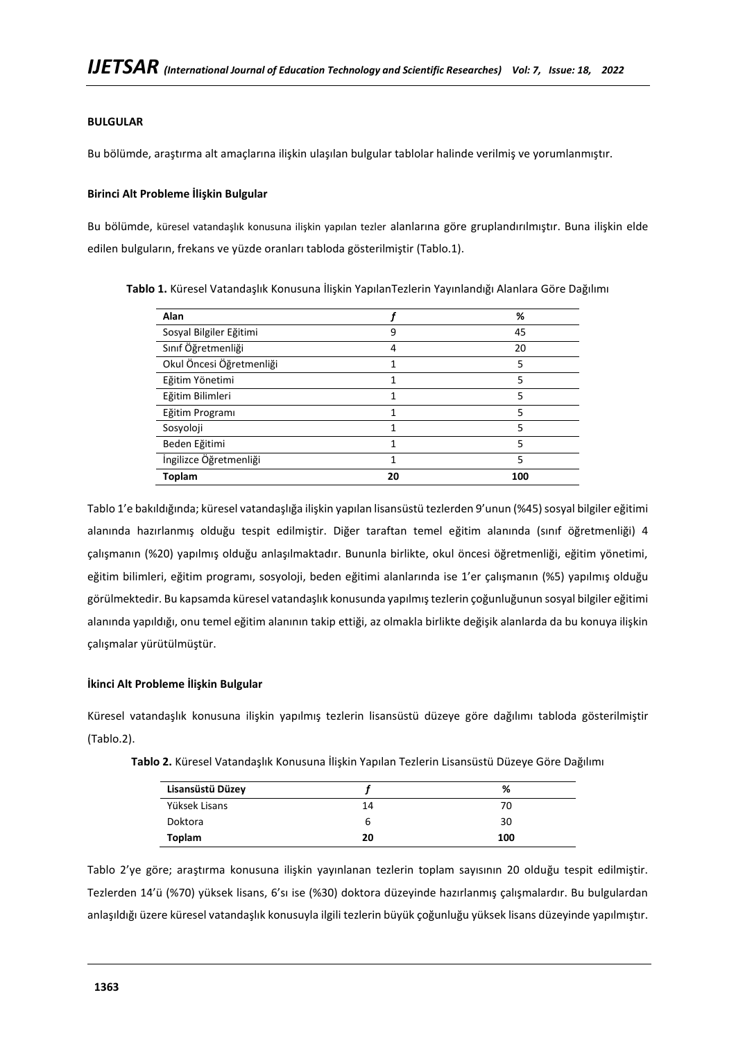## **BULGULAR**

Bu bölümde, araştırma alt amaçlarına ilişkin ulaşılan bulgular tablolar halinde verilmiş ve yorumlanmıştır.

### **Birinci Alt Probleme İlişkin Bulgular**

Bu bölümde, küresel vatandaşlık konusuna ilişkin yapılan tezler alanlarına göre gruplandırılmıştır. Buna ilişkin elde edilen bulguların, frekans ve yüzde oranları tabloda gösterilmiştir (Tablo.1).

| Alan                     |    | %   |
|--------------------------|----|-----|
| Sosyal Bilgiler Eğitimi  |    | 45  |
| Sınıf Öğretmenliği       | 4  | 20  |
| Okul Öncesi Öğretmenliği |    | 5   |
| Eğitim Yönetimi          |    | 5   |
| Eğitim Bilimleri         |    | 5   |
| Eğitim Programı          |    | 5   |
| Sosyoloji                |    | 5   |
| Beden Eğitimi            |    | 5   |
| İngilizce Öğretmenliği   |    | 5   |
| <b>Toplam</b>            | 20 | 100 |

**Tablo 1.** Küresel Vatandaşlık Konusuna İlişkin YapılanTezlerin Yayınlandığı Alanlara Göre Dağılımı

Tablo 1'e bakıldığında; küresel vatandaşlığa ilişkin yapılan lisansüstü tezlerden 9'unun (%45) sosyal bilgiler eğitimi alanında hazırlanmış olduğu tespit edilmiştir. Diğer taraftan temel eğitim alanında (sınıf öğretmenliği) 4 çalışmanın (%20) yapılmış olduğu anlaşılmaktadır. Bununla birlikte, okul öncesi öğretmenliği, eğitim yönetimi, eğitim bilimleri, eğitim programı, sosyoloji, beden eğitimi alanlarında ise 1'er çalışmanın (%5) yapılmış olduğu görülmektedir. Bu kapsamda küresel vatandaşlık konusunda yapılmıştezlerin çoğunluğunun sosyal bilgiler eğitimi alanında yapıldığı, onu temel eğitim alanının takip ettiği, az olmakla birlikte değişik alanlarda da bu konuya ilişkin çalışmalar yürütülmüştür.

## **İkinci Alt Probleme İlişkin Bulgular**

Küresel vatandaşlık konusuna ilişkin yapılmış tezlerin lisansüstü düzeye göre dağılımı tabloda gösterilmiştir (Tablo.2).

| Lisansüstü Düzey |    | %   |
|------------------|----|-----|
| Yüksek Lisans    | 14 | 70  |
| Doktora          | b  | 30  |
| Toplam           | 20 | 100 |

**Tablo 2.** Küresel Vatandaşlık Konusuna İlişkin Yapılan Tezlerin Lisansüstü Düzeye Göre Dağılımı

Tablo 2'ye göre; araştırma konusuna ilişkin yayınlanan tezlerin toplam sayısının 20 olduğu tespit edilmiştir. Tezlerden 14'ü (%70) yüksek lisans, 6'sı ise (%30) doktora düzeyinde hazırlanmış çalışmalardır. Bu bulgulardan anlaşıldığı üzere küresel vatandaşlık konusuyla ilgili tezlerin büyük çoğunluğu yüksek lisans düzeyinde yapılmıştır.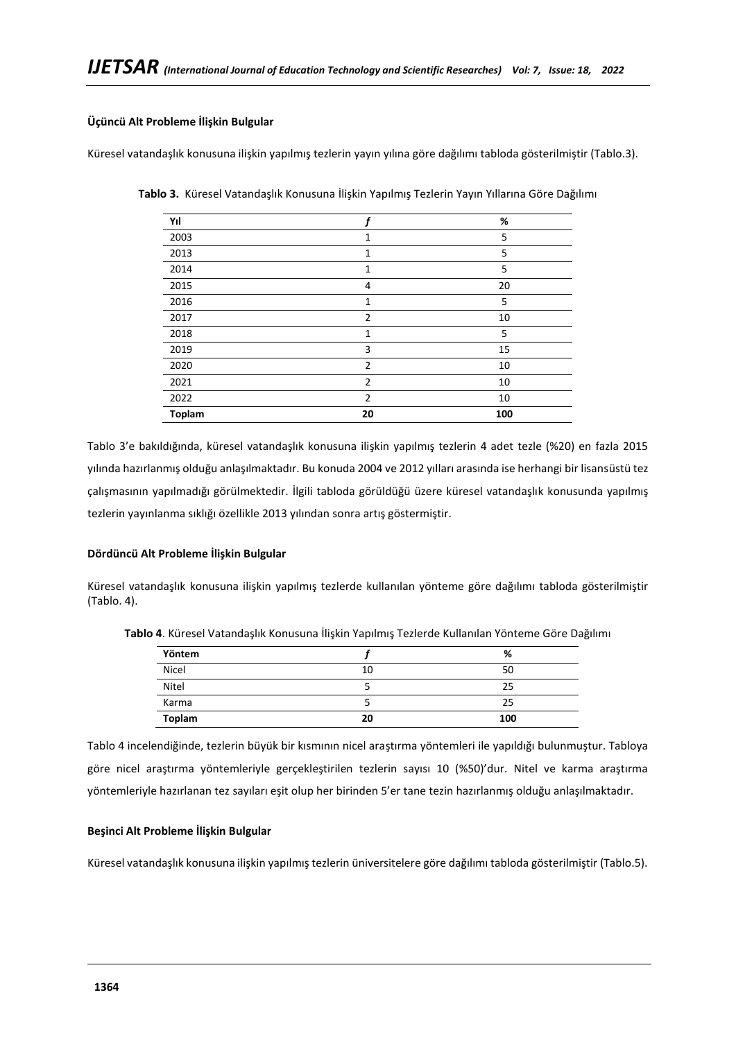## **Üçüncü Alt Probleme İlişkin Bulgular**

Küresel vatandaşlık konusuna ilişkin yapılmış tezlerin yayın yılına göre dağılımı tabloda gösterilmiştir (Tablo.3).

| Yıl           |                | ℅   |
|---------------|----------------|-----|
| 2003          | 1              | 5   |
| 2013          | 1              | 5   |
| 2014          | $\mathbf{1}$   | 5   |
| 2015          | 4              | 20  |
| 2016          | $\mathbf{1}$   | 5   |
| 2017          | $\overline{2}$ | 10  |
| 2018          | 1              | 5   |
| 2019          | 3              | 15  |
| 2020          | $\overline{2}$ | 10  |
| 2021          | $\overline{2}$ | 10  |
| 2022          | $\overline{2}$ | 10  |
| <b>Toplam</b> | 20             | 100 |

**Tablo 3.** Küresel Vatandaşlık Konusuna İlişkin Yapılmış Tezlerin Yayın Yıllarına Göre Dağılımı

Tablo 3'e bakıldığında, küresel vatandaşlık konusuna ilişkin yapılmış tezlerin 4 adet tezle (%20) en fazla 2015 yılında hazırlanmış olduğu anlaşılmaktadır. Bu konuda 2004 ve 2012 yılları arasında ise herhangi bir lisansüstü tez çalışmasının yapılmadığı görülmektedir. İlgili tabloda görüldüğü üzere küresel vatandaşlık konusunda yapılmış tezlerin yayınlanma sıklığı özellikle 2013 yılından sonra artış göstermiştir.

## **Dördüncü Alt Probleme İlişkin Bulgular**

Küresel vatandaşlık konusuna ilişkin yapılmış tezlerde kullanılan yönteme göre dağılımı tabloda gösterilmiştir (Tablo. 4).

| Yöntem        |    | %   |
|---------------|----|-----|
| Nicel         | 10 | 50  |
| Nitel         |    | 25  |
| Karma         |    | 25  |
| <b>Toplam</b> | 20 | 100 |

**Tablo 4**. Küresel Vatandaşlık Konusuna İlişkin Yapılmış Tezlerde Kullanılan Yönteme Göre Dağılımı

Tablo 4 incelendiğinde, tezlerin büyük bir kısmının nicel araştırma yöntemleri ile yapıldığı bulunmuştur. Tabloya göre nicel araştırma yöntemleriyle gerçekleştirilen tezlerin sayısı 10 (%50)'dur. Nitel ve karma araştırma yöntemleriyle hazırlanan tez sayıları eşit olup her birinden 5'er tane tezin hazırlanmış olduğu anlaşılmaktadır.

## **Beşinci Alt Probleme İlişkin Bulgular**

Küresel vatandaşlık konusuna ilişkin yapılmış tezlerin üniversitelere göre dağılımı tabloda gösterilmiştir (Tablo.5).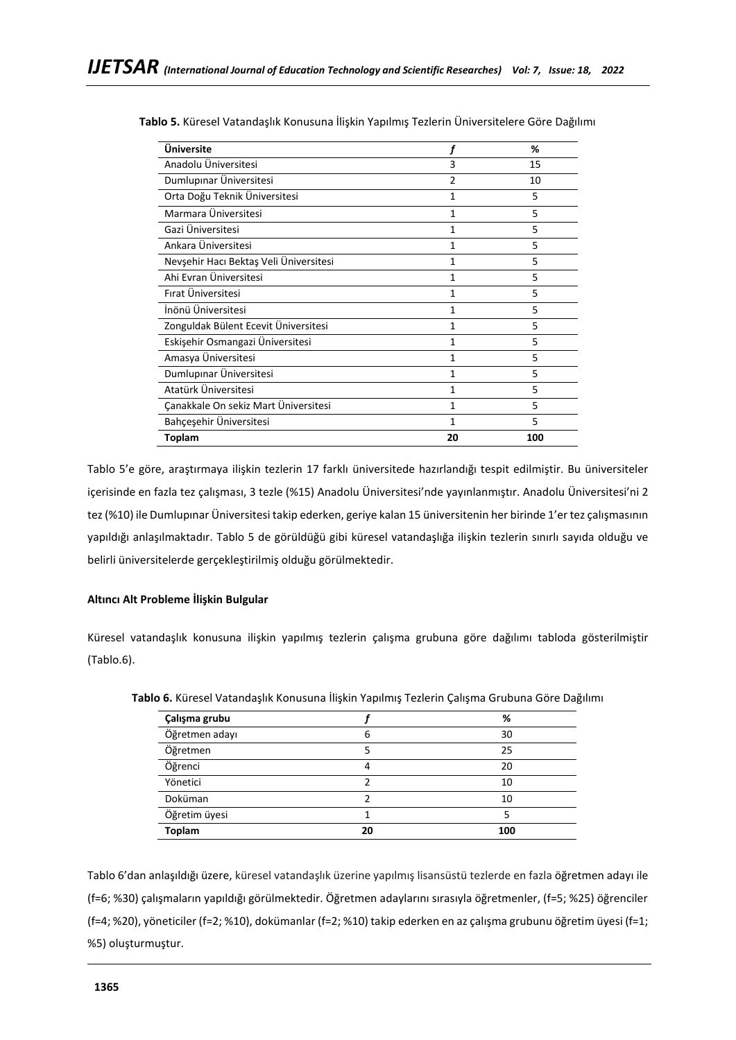| Üniversite                             |    | %   |
|----------------------------------------|----|-----|
| Anadolu Üniversitesi                   | 3  | 15  |
| Dumlupinar Üniversitesi                | 2  | 10  |
| Orta Doğu Teknik Üniversitesi          | 1  | 5   |
| Marmara Üniversitesi                   | 1  | 5   |
| Gazi Üniversitesi                      | 1  | 5   |
| Ankara Üniversitesi                    | 1  | 5   |
| Nevşehir Hacı Bektaş Veli Üniversitesi | 1  | 5   |
| Ahi Evran Üniversitesi                 | 1  | 5   |
| Fırat Üniversitesi                     | 1  | 5   |
| İnönü Üniversitesi                     | 1  | 5   |
| Zonguldak Bülent Ecevit Üniversitesi   | 1  | 5   |
| Eskişehir Osmangazi Üniversitesi       | 1  | 5   |
| Amasya Üniversitesi                    | 1  | 5   |
| Dumlupınar Üniversitesi                | 1  | 5   |
| Atatürk Üniversitesi                   | 1  | 5   |
| Canakkale On sekiz Mart Üniversitesi   | 1  | 5   |
| Bahçeşehir Üniversitesi                | 1  | 5   |
| Toplam                                 | 20 | 100 |

**Tablo 5.** Küresel Vatandaşlık Konusuna İlişkin Yapılmış Tezlerin Üniversitelere Göre Dağılımı

Tablo 5'e göre, araştırmaya ilişkin tezlerin 17 farklı üniversitede hazırlandığı tespit edilmiştir. Bu üniversiteler içerisinde en fazla tez çalışması, 3 tezle (%15) Anadolu Üniversitesi'nde yayınlanmıştır. Anadolu Üniversitesi'ni 2 tez (%10) ile Dumlupınar Üniversitesi takip ederken, geriye kalan 15 üniversitenin her birinde 1'er tez çalışmasının yapıldığı anlaşılmaktadır. Tablo 5 de görüldüğü gibi küresel vatandaşlığa ilişkin tezlerin sınırlı sayıda olduğu ve belirli üniversitelerde gerçekleştirilmiş olduğu görülmektedir.

## **Altıncı Alt Probleme İlişkin Bulgular**

Küresel vatandaşlık konusuna ilişkin yapılmış tezlerin çalışma grubuna göre dağılımı tabloda gösterilmiştir (Tablo.6).

| Çalışma grubu  |    | %   |
|----------------|----|-----|
| Öğretmen adayı | 6  | 30  |
| Öğretmen       |    | 25  |
| Öğrenci        | 4  | 20  |
| Yönetici       |    | 10  |
| Doküman        |    | 10  |
| Öğretim üyesi  |    | 5   |
| <b>Toplam</b>  | 20 | 100 |

**Tablo 6.** Küresel Vatandaşlık Konusuna İlişkin Yapılmış Tezlerin Çalışma Grubuna Göre Dağılımı

Tablo 6'dan anlaşıldığı üzere, küresel vatandaşlık üzerine yapılmış lisansüstü tezlerde en fazla öğretmen adayı ile (f=6; %30) çalışmaların yapıldığı görülmektedir. Öğretmen adaylarını sırasıyla öğretmenler, (f=5; %25) öğrenciler (f=4; %20), yöneticiler (f=2; %10), dokümanlar (f=2; %10) takip ederken en az çalışma grubunu öğretim üyesi (f=1; %5) oluşturmuştur.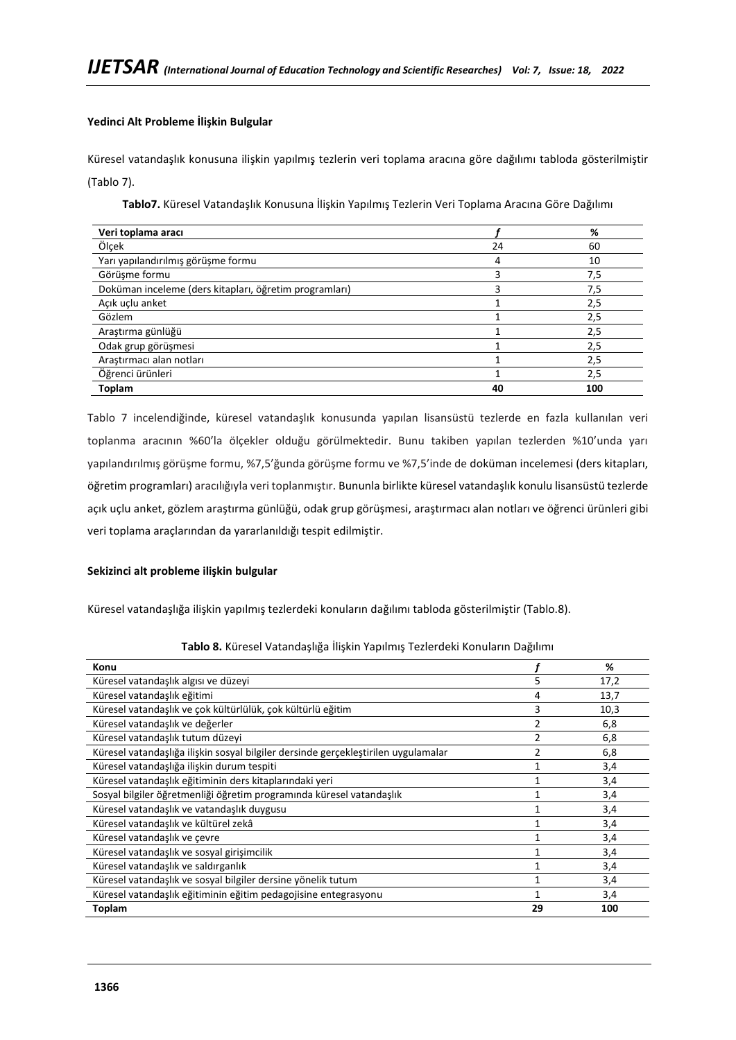## **Yedinci Alt Probleme İlişkin Bulgular**

Küresel vatandaşlık konusuna ilişkin yapılmış tezlerin veri toplama aracına göre dağılımı tabloda gösterilmiştir (Tablo 7).

**Tablo7.** Küresel Vatandaşlık Konusuna İlişkin Yapılmış Tezlerin Veri Toplama Aracına Göre Dağılımı

| Veri toplama aracı                                     |    | %   |
|--------------------------------------------------------|----|-----|
| Ölçek                                                  | 24 | 60  |
| Yarı yapılandırılmış görüşme formu                     | 4  | 10  |
| Görüşme formu                                          |    | 7,5 |
| Doküman inceleme (ders kitapları, öğretim programları) |    | 7,5 |
| Açık uçlu anket                                        |    | 2,5 |
| Gözlem                                                 |    | 2,5 |
| Araştırma günlüğü                                      |    | 2,5 |
| Odak grup görüşmesi                                    |    | 2,5 |
| Arastırmacı alan notları                               |    | 2,5 |
| Öğrenci ürünleri                                       |    | 2,5 |
| <b>Toplam</b>                                          | 40 | 100 |

Tablo 7 incelendiğinde, küresel vatandaşlık konusunda yapılan lisansüstü tezlerde en fazla kullanılan veri toplanma aracının %60'la ölçekler olduğu görülmektedir. Bunu takiben yapılan tezlerden %10'unda yarı yapılandırılmış görüşme formu, %7,5'ğunda görüşme formu ve %7,5'inde de doküman incelemesi (ders kitapları, öğretim programları) aracılığıyla veri toplanmıştır. Bununla birlikte küresel vatandaşlık konulu lisansüstü tezlerde açık uçlu anket, gözlem araştırma günlüğü, odak grup görüşmesi, araştırmacı alan notları ve öğrenci ürünleri gibi veri toplama araçlarından da yararlanıldığı tespit edilmiştir.

## **Sekizinci alt probleme ilişkin bulgular**

Küresel vatandaşlığa ilişkin yapılmış tezlerdeki konuların dağılımı tabloda gösterilmiştir (Tablo.8).

| Konu                                                                               |    | %    |
|------------------------------------------------------------------------------------|----|------|
|                                                                                    |    |      |
| Küresel vatandaşlık algısı ve düzeyi                                               | 5  | 17,2 |
| Küresel vatandaşlık eğitimi                                                        | 4  | 13,7 |
| Küresel vatandaşlık ve çok kültürlülük, çok kültürlü eğitim                        | 3  | 10,3 |
| Küresel vatandaşlık ve değerler                                                    | 2  | 6,8  |
| Küresel vatandaşlık tutum düzeyi                                                   |    | 6,8  |
| Küresel vatandaşlığa ilişkin sosyal bilgiler dersinde gerçekleştirilen uygulamalar | 2  | 6,8  |
| Küresel vatandaşlığa ilişkin durum tespiti                                         |    | 3,4  |
| Küresel vatandaşlık eğitiminin ders kitaplarındaki yeri                            |    | 3,4  |
| Sosyal bilgiler öğretmenliği öğretim programında küresel vatandaşlık               |    | 3,4  |
| Küresel vatandaşlık ve vatandaşlık duygusu                                         |    | 3,4  |
| Küresel vatandaşlık ve kültürel zekâ                                               |    | 3,4  |
| Küresel vatandaşlık ve çevre                                                       |    | 3,4  |
| Küresel vatandaşlık ve sosyal girişimcilik                                         |    | 3,4  |
| Küresel vatandaşlık ve saldırganlık                                                |    | 3,4  |
| Küresel vatandaşlık ve sosyal bilgiler dersine yönelik tutum                       |    | 3,4  |
| Küresel vatandaşlık eğitiminin eğitim pedagojisine entegrasyonu                    |    | 3,4  |
| Toplam                                                                             | 29 | 100  |

**Tablo 8.** Küresel Vatandaşlığa İlişkin Yapılmış Tezlerdeki Konuların Dağılımı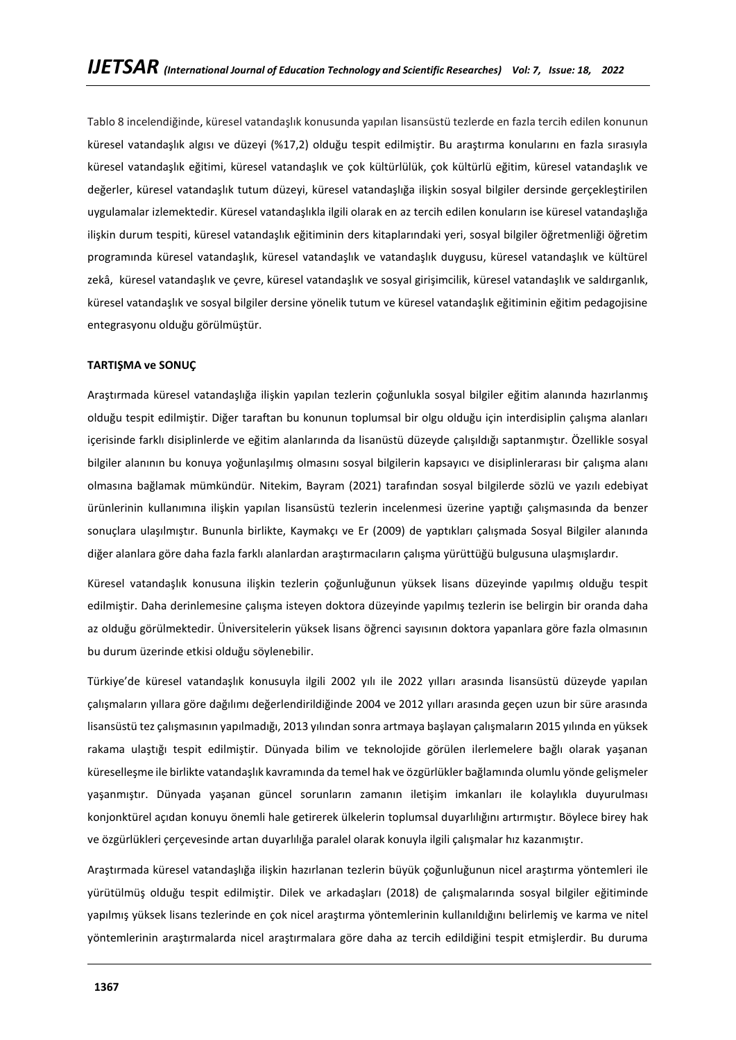Tablo 8 incelendiğinde, küresel vatandaşlık konusunda yapılan lisansüstü tezlerde en fazla tercih edilen konunun küresel vatandaşlık algısı ve düzeyi (%17,2) olduğu tespit edilmiştir. Bu araştırma konularını en fazla sırasıyla küresel vatandaşlık eğitimi, küresel vatandaşlık ve çok kültürlülük, çok kültürlü eğitim, küresel vatandaşlık ve değerler, küresel vatandaşlık tutum düzeyi, küresel vatandaşlığa ilişkin sosyal bilgiler dersinde gerçekleştirilen uygulamalar izlemektedir. Küresel vatandaşlıkla ilgili olarak en az tercih edilen konuların ise küresel vatandaşlığa ilişkin durum tespiti, küresel vatandaşlık eğitiminin ders kitaplarındaki yeri, sosyal bilgiler öğretmenliği öğretim programında küresel vatandaşlık, küresel vatandaşlık ve vatandaşlık duygusu, küresel vatandaşlık ve kültürel zekâ, küresel vatandaşlık ve çevre, küresel vatandaşlık ve sosyal girişimcilik, küresel vatandaşlık ve saldırganlık, küresel vatandaşlık ve sosyal bilgiler dersine yönelik tutum ve küresel vatandaşlık eğitiminin eğitim pedagojisine entegrasyonu olduğu görülmüştür.

### **TARTIŞMA ve SONUÇ**

Araştırmada küresel vatandaşlığa ilişkin yapılan tezlerin çoğunlukla sosyal bilgiler eğitim alanında hazırlanmış olduğu tespit edilmiştir. Diğer taraftan bu konunun toplumsal bir olgu olduğu için interdisiplin çalışma alanları içerisinde farklı disiplinlerde ve eğitim alanlarında da lisanüstü düzeyde çalışıldığı saptanmıştır. Özellikle sosyal bilgiler alanının bu konuya yoğunlaşılmış olmasını sosyal bilgilerin kapsayıcı ve disiplinlerarası bir çalışma alanı olmasına bağlamak mümkündür. Nitekim, Bayram (2021) tarafından sosyal bı̇lgı̇lerde sözlü ve yazılı edebı̇yat ürünlerı̇nı̇n kullanımına ilişkin yapılan lı̇sansüstü tezlerı̇n ı̇ncelenmesı̇üzerine yaptığı çalışmasında da benzer sonuçlara ulaşılmıştır. Bununla birlikte, Kaymakçı ve Er (2009) de yaptıkları çalışmada Sosyal Bilgiler alanında diğer alanlara göre daha fazla farklı alanlardan araştırmacıların çalışma yürüttüğü bulgusuna ulaşmışlardır.

Küresel vatandaşlık konusuna ilişkin tezlerin çoğunluğunun yüksek lisans düzeyinde yapılmış olduğu tespit edilmiştir. Daha derinlemesine çalışma isteyen doktora düzeyinde yapılmış tezlerin ise belirgin bir oranda daha az olduğu görülmektedir. Üniversitelerin yüksek lisans öğrenci sayısının doktora yapanlara göre fazla olmasının bu durum üzerinde etkisi olduğu söylenebilir.

Türkiye'de küresel vatandaşlık konusuyla ilgili 2002 yılı ile 2022 yılları arasında lisansüstü düzeyde yapılan çalışmaların yıllara göre dağılımı değerlendirildiğinde 2004 ve 2012 yılları arasında geçen uzun bir süre arasında lisansüstü tez çalışmasının yapılmadığı, 2013 yılından sonra artmaya başlayan çalışmaların 2015 yılında en yüksek rakama ulaştığı tespit edilmiştir. Dünyada bilim ve teknolojide görülen ilerlemelere bağlı olarak yaşanan küreselleşme ile birlikte vatandaşlık kavramında da temel hak ve özgürlükler bağlamında olumlu yönde gelişmeler yaşanmıştır. Dünyada yaşanan güncel sorunların zamanın iletişim imkanları ile kolaylıkla duyurulması konjonktürel açıdan konuyu önemli hale getirerek ülkelerin toplumsal duyarlılığını artırmıştır. Böylece birey hak ve özgürlükleri çerçevesinde artan duyarlılığa paralel olarak konuyla ilgili çalışmalar hız kazanmıştır.

Araştırmada küresel vatandaşlığa ilişkin hazırlanan tezlerin büyük çoğunluğunun nicel araştırma yöntemleri ile yürütülmüş olduğu tespit edilmiştir. Dilek ve arkadaşları (2018) de çalışmalarında sosyal bilgiler eğitiminde yapılmış yüksek lisans tezlerinde en çok nicel araştırma yöntemlerinin kullanıldığını belirlemiş ve karma ve nitel yöntemlerinin araştırmalarda nicel araştırmalara göre daha az tercih edildiğini tespit etmişlerdir. Bu duruma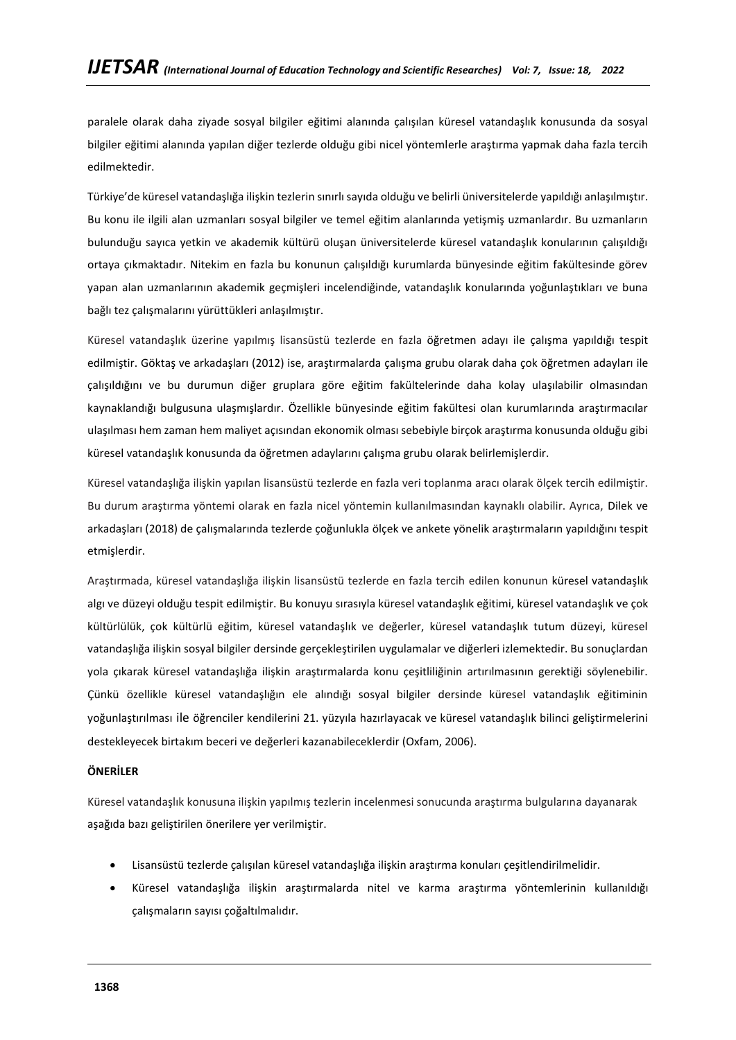paralele olarak daha ziyade sosyal bilgiler eğitimi alanında çalışılan küresel vatandaşlık konusunda da sosyal bilgiler eğitimi alanında yapılan diğer tezlerde olduğu gibi nicel yöntemlerle araştırma yapmak daha fazla tercih edilmektedir.

Türkiye'de küresel vatandaşlığa ilişkin tezlerin sınırlı sayıda olduğu ve belirli üniversitelerde yapıldığı anlaşılmıştır. Bu konu ile ilgili alan uzmanları sosyal bilgiler ve temel eğitim alanlarında yetişmiş uzmanlardır. Bu uzmanların bulunduğu sayıca yetkin ve akademik kültürü oluşan üniversitelerde küresel vatandaşlık konularının çalışıldığı ortaya çıkmaktadır. Nitekim en fazla bu konunun çalışıldığı kurumlarda bünyesinde eğitim fakültesinde görev yapan alan uzmanlarının akademik geçmişleri incelendiğinde, vatandaşlık konularında yoğunlaştıkları ve buna bağlı tez çalışmalarını yürüttükleri anlaşılmıştır.

Küresel vatandaşlık üzerine yapılmış lisansüstü tezlerde en fazla öğretmen adayı ile çalışma yapıldığı tespit edilmiştir. Göktaş ve arkadaşları (2012) ise, araştırmalarda çalışma grubu olarak daha çok öğretmen adayları ile çalışıldığını ve bu durumun diğer gruplara göre eğitim fakültelerinde daha kolay ulaşılabilir olmasından kaynaklandığı bulgusuna ulaşmışlardır. Özellikle bünyesinde eğitim fakültesi olan kurumlarında araştırmacılar ulaşılması hem zaman hem maliyet açısından ekonomik olması sebebiyle birçok araştırma konusunda olduğu gibi küresel vatandaşlık konusunda da öğretmen adaylarını çalışma grubu olarak belirlemişlerdir.

Küresel vatandaşlığa ilişkin yapılan lisansüstü tezlerde en fazla veri toplanma aracı olarak ölçek tercih edilmiştir. Bu durum araştırma yöntemi olarak en fazla nicel yöntemin kullanılmasından kaynaklı olabilir. Ayrıca, Dilek ve arkadaşları (2018) de çalışmalarında tezlerde çoğunlukla ölçek ve ankete yönelik araştırmaların yapıldığını tespit etmişlerdir.

Araştırmada, küresel vatandaşlığa ilişkin lisansüstü tezlerde en fazla tercih edilen konunun küresel vatandaşlık algı ve düzeyi olduğu tespit edilmiştir. Bu konuyu sırasıyla küresel vatandaşlık eğitimi, küresel vatandaşlık ve çok kültürlülük, çok kültürlü eğitim, küresel vatandaşlık ve değerler, küresel vatandaşlık tutum düzeyi, küresel vatandaşlığa ilişkin sosyal bilgiler dersinde gerçekleştirilen uygulamalar ve diğerleri izlemektedir. Bu sonuçlardan yola çıkarak küresel vatandaşlığa ilişkin araştırmalarda konu çeşitliliğinin artırılmasının gerektiği söylenebilir. Çünkü özellikle küresel vatandaşlığın ele alındığı sosyal bilgiler dersinde küresel vatandaşlık eğitiminin yoğunlaştırılması ile öğrenciler kendilerini 21. yüzyıla hazırlayacak ve küresel vatandaşlık bilinci geliştirmelerini destekleyecek birtakım beceri ve değerleri kazanabileceklerdir (Oxfam, 2006).

# **ÖNERİLER**

Küresel vatandaşlık konusuna ilişkin yapılmış tezlerin incelenmesi sonucunda araştırma bulgularına dayanarak aşağıda bazı geliştirilen önerilere yer verilmiştir.

- Lisansüstü tezlerde çalışılan küresel vatandaşlığa ilişkin araştırma konuları çeşitlendirilmelidir.
- Küresel vatandaşlığa ilişkin araştırmalarda nitel ve karma araştırma yöntemlerinin kullanıldığı çalışmaların sayısı çoğaltılmalıdır.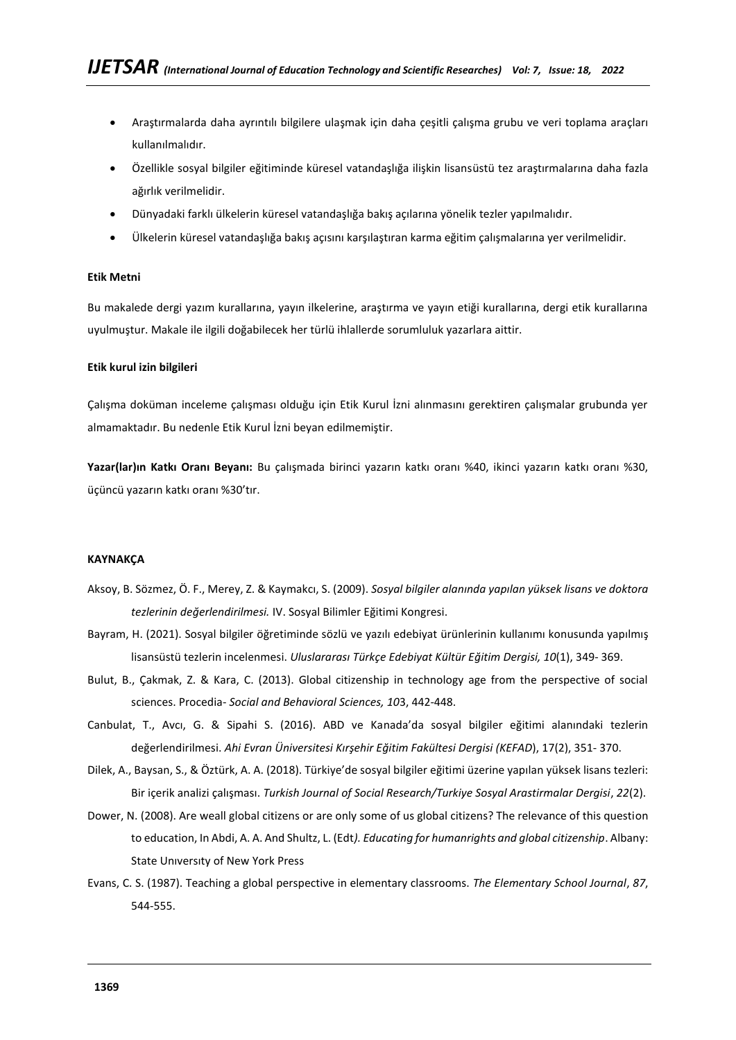- Araştırmalarda daha ayrıntılı bilgilere ulaşmak için daha çeşitli çalışma grubu ve veri toplama araçları kullanılmalıdır.
- Özellikle sosyal bilgiler eğitiminde küresel vatandaşlığa ilişkin lisansüstü tez araştırmalarına daha fazla ağırlık verilmelidir.
- Dünyadaki farklı ülkelerin küresel vatandaşlığa bakış açılarına yönelik tezler yapılmalıdır.
- Ülkelerin küresel vatandaşlığa bakış açısını karşılaştıran karma eğitim çalışmalarına yer verilmelidir.

### **Etik Metni**

Bu makalede dergi yazım kurallarına, yayın ilkelerine, araştırma ve yayın etiği kurallarına, dergi etik kurallarına uyulmuştur. Makale ile ilgili doğabilecek her türlü ihlallerde sorumluluk yazarlara aittir.

### **Etik kurul izin bilgileri**

Çalışma doküman inceleme çalışması olduğu için Etik Kurul İzni alınmasını gerektiren çalışmalar grubunda yer almamaktadır. Bu nedenle Etik Kurul İzni beyan edilmemiştir.

**Yazar(lar)ın Katkı Oranı Beyanı:** Bu çalışmada birinci yazarın katkı oranı %40, ikinci yazarın katkı oranı %30, üçüncü yazarın katkı oranı %30'tır.

## **KAYNAKÇA**

- Aksoy, B. Sözmez, Ö. F., Merey, Z. & Kaymakcı, S. (2009). *Sosyal bilgiler alanında yapılan yüksek lisans ve doktora tezlerinin değerlendirilmesi.* IV. Sosyal Bilimler Eğitimi Kongresi.
- Bayram, H. (2021). Sosyal bilgiler öğretiminde sözlü ve yazılı edebiyat ürünlerinin kullanımı konusunda yapılmış lisansüstü tezlerin incelenmesi. *Uluslararası Türkçe Edebiyat Kültür Eğitim Dergisi, 10*(1), 349- 369.
- Bulut, B., Çakmak, Z. & Kara, C. (2013). Global citizenship in technology age from the perspective of social sciences. Procedia- *Social and Behavioral Sciences, 10*3, 442-448.
- Canbulat, T., Avcı, G. & Sipahi S. (2016). ABD ve Kanada'da sosyal bilgiler eğitimi alanındaki tezlerin değerlendirilmesi. *Ahi Evran Üniversitesi Kırşehir Eğitim Fakültesi Dergisi (KEFAD*), 17(2), 351- 370.
- Dilek, A., Baysan, S., & Öztürk, A. A. (2018). Türkiye'de sosyal bilgiler eğitimi üzerine yapılan yüksek lisans tezleri: Bir içerik analizi çalışması. *Turkish Journal of Social Research/Turkiye Sosyal Arastirmalar Dergisi*, *22*(2).
- Dower, N. (2008). Are weall global citizens or are only some of us global citizens? The relevance of this question to education, In Abdi, A. A. And Shultz, L. (Edt*). Educating for humanrights and global citizenship*. Albany: State Unıversıty of New York Press
- Evans, C. S. (1987). Teaching a global perspective in elementary classrooms. *The Elementary School Journal*, *87*, 544-555.